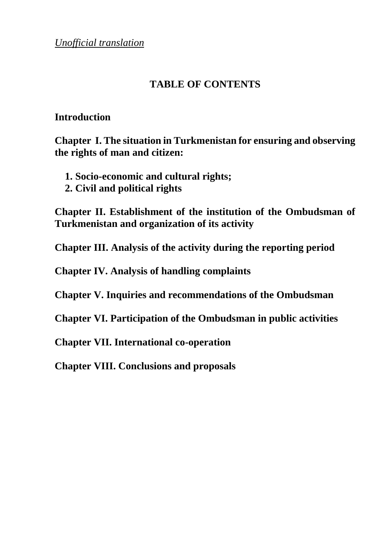*Unofficial translation*

## **TABLE OF CONTENTS**

#### **Introduction**

**Chapter I. The situation in Turkmenistan for ensuring and observing the rights of man and citizen:** 

- **1. Socio-economic and cultural rights;**
- **2. Civil and political rights**

**Chapter II. Establishment of the institution of the Ombudsman of Turkmenistan and organization of its activity** 

**Chapter III. Analysis of the activity during the reporting period** 

**Chapter IV. Analysis of handling complaints**

**Chapter V. Inquiries and recommendations of the Ombudsman**

**Chapter VI. Participation of the Ombudsman in public activities** 

**Chapter VII. International co-operation**

**Chapter VIII. Conclusions and proposals**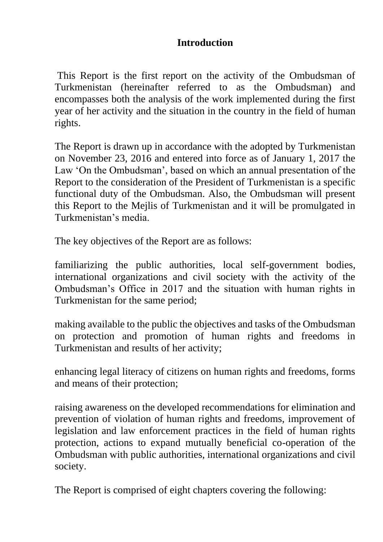## **Introduction**

This Report is the first report on the activity of the Ombudsman of Turkmenistan (hereinafter referred to as the Ombudsman) and encompasses both the analysis of the work implemented during the first year of her activity and the situation in the country in the field of human rights.

The Report is drawn up in accordance with the adopted by Turkmenistan on November 23, 2016 and entered into force as of January 1, 2017 the Law 'On the Ombudsman', based on which an annual presentation of the Report to the consideration of the President of Turkmenistan is a specific functional duty of the Ombudsman. Also, the Ombudsman will present this Report to the Mejlis of Turkmenistan and it will be promulgated in Turkmenistan's media.

The key objectives of the Report are as follows:

familiarizing the public authorities, local self-government bodies, international organizations and civil society with the activity of the Ombudsman's Office in 2017 and the situation with human rights in Turkmenistan for the same period;

making available to the public the objectives and tasks of the Ombudsman on protection and promotion of human rights and freedoms in Turkmenistan and results of her activity;

enhancing legal literacy of citizens on human rights and freedoms, forms and means of their protection;

raising awareness on the developed recommendations for elimination and prevention of violation of human rights and freedoms, improvement of legislation and law enforcement practices in the field of human rights protection, actions to expand mutually beneficial co-operation of the Ombudsman with public authorities, international organizations and civil society.

The Report is comprised of eight chapters covering the following: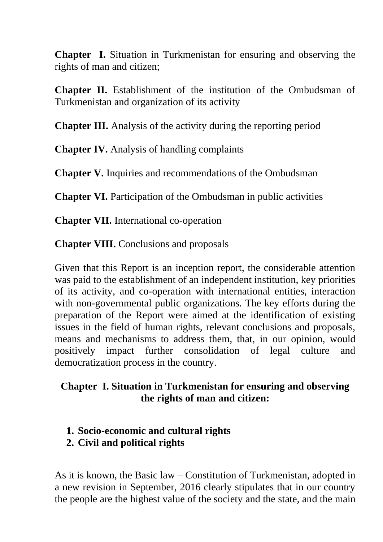**Chapter I.** Situation in Turkmenistan for ensuring and observing the rights of man and citizen;

**Chapter II.** Establishment of the institution of the Ombudsman of Turkmenistan and organization of its activity

**Chapter III.** Analysis of the activity during the reporting period

**Chapter IV.** Analysis of handling complaints

**Chapter V.** Inquiries and recommendations of the Ombudsman

**Chapter VI.** Participation of the Ombudsman in public activities

**Chapter VII.** International co-operation

**Chapter VIII.** Conclusions and proposals

Given that this Report is an inception report, the considerable attention was paid to the establishment of an independent institution, key priorities of its activity, and co-operation with international entities, interaction with non-governmental public organizations. The key efforts during the preparation of the Report were aimed at the identification of existing issues in the field of human rights, relevant conclusions and proposals, means and mechanisms to address them, that, in our opinion, would positively impact further consolidation of legal culture and democratization process in the country.

# **Chapter I. Situation in Turkmenistan for ensuring and observing the rights of man and citizen:**

- **1. Socio-economic and cultural rights**
- **2. Civil and political rights**

As it is known, the Basic law – Constitution of Turkmenistan, adopted in a new revision in September, 2016 clearly stipulates that in our country the people are the highest value of the society and the state, and the main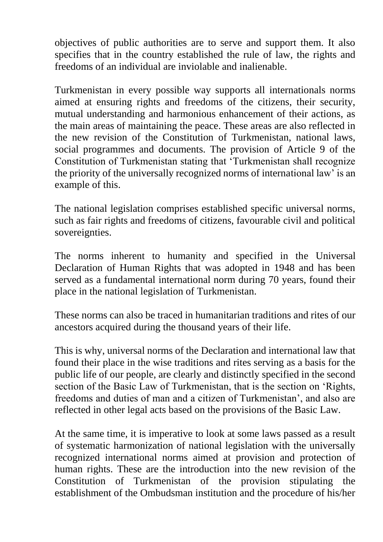objectives of public authorities are to serve and support them. It also specifies that in the country established the rule of law, the rights and freedoms of an individual are inviolable and inalienable.

Turkmenistan in every possible way supports all internationals norms aimed at ensuring rights and freedoms of the citizens, their security, mutual understanding and harmonious enhancement of their actions, as the main areas of maintaining the peace. These areas are also reflected in the new revision of the Constitution of Turkmenistan, national laws, social programmes and documents. The provision of Article 9 of the Constitution of Turkmenistan stating that 'Turkmenistan shall recognize the priority of the universally recognized norms of international law' is an example of this.

The national legislation comprises established specific universal norms, such as fair rights and freedoms of citizens, favourable civil and political sovereignties.

The norms inherent to humanity and specified in the Universal Declaration of Human Rights that was adopted in 1948 and has been served as a fundamental international norm during 70 years, found their place in the national legislation of Turkmenistan.

These norms can also be traced in humanitarian traditions and rites of our ancestors acquired during the thousand years of their life.

This is why, universal norms of the Declaration and international law that found their place in the wise traditions and rites serving as a basis for the public life of our people, are clearly and distinctly specified in the second section of the Basic Law of Turkmenistan, that is the section on 'Rights, freedoms and duties of man and a citizen of Turkmenistan', and also are reflected in other legal acts based on the provisions of the Basic Law.

At the same time, it is imperative to look at some laws passed as a result of systematic harmonization of national legislation with the universally recognized international norms aimed at provision and protection of human rights. These are the introduction into the new revision of the Constitution of Turkmenistan of the provision stipulating the establishment of the Ombudsman institution and the procedure of his/her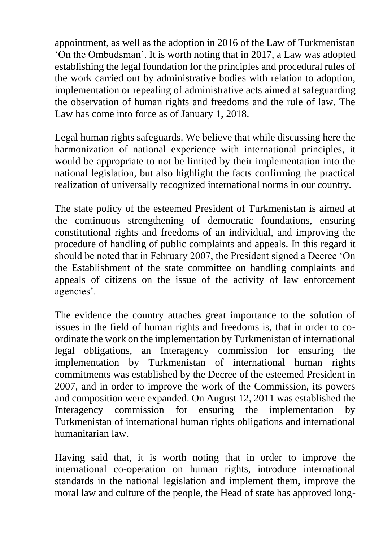appointment, as well as the adoption in 2016 of the Law of Turkmenistan 'On the Ombudsman'. It is worth noting that in 2017, a Law was adopted establishing the legal foundation for the principles and procedural rules of the work carried out by administrative bodies with relation to adoption, implementation or repealing of administrative acts aimed at safeguarding the observation of human rights and freedoms and the rule of law. The Law has come into force as of January 1, 2018.

Legal human rights safeguards. We believe that while discussing here the harmonization of national experience with international principles, it would be appropriate to not be limited by their implementation into the national legislation, but also highlight the facts confirming the practical realization of universally recognized international norms in our country.

The state policy of the esteemed President of Turkmenistan is aimed at the continuous strengthening of democratic foundations, ensuring constitutional rights and freedoms of an individual, and improving the procedure of handling of public complaints and appeals. In this regard it should be noted that in February 2007, the President signed a Decree 'On the Establishment of the state committee on handling complaints and appeals of citizens on the issue of the activity of law enforcement agencies'.

The evidence the country attaches great importance to the solution of issues in the field of human rights and freedoms is, that in order to coordinate the work on the implementation by Turkmenistan of international legal obligations, an Interagency commission for ensuring the implementation by Turkmenistan of international human rights commitments was established by the Decree of the esteemed President in 2007, and in order to improve the work of the Commission, its powers and composition were expanded. On August 12, 2011 was established the Interagency commission for ensuring the implementation by Turkmenistan of international human rights obligations and international humanitarian law.

Having said that, it is worth noting that in order to improve the international co-operation on human rights, introduce international standards in the national legislation and implement them, improve the moral law and culture of the people, the Head of state has approved long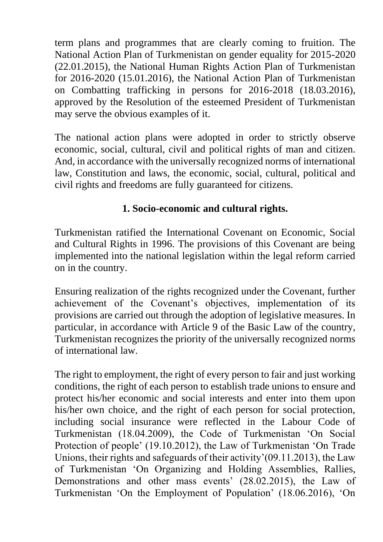term plans and programmes that are clearly coming to fruition. The National Action Plan of Turkmenistan on gender equality for 2015-2020 (22.01.2015), the National Human Rights Action Plan of Turkmenistan for 2016-2020 (15.01.2016), the National Action Plan of Turkmenistan on Combatting trafficking in persons for 2016-2018 (18.03.2016), approved by the Resolution of the esteemed President of Turkmenistan may serve the obvious examples of it.

The national action plans were adopted in order to strictly observe economic, social, cultural, civil and political rights of man and citizen. And, in accordance with the universally recognized norms of international law, Constitution and laws, the economic, social, cultural, political and civil rights and freedoms are fully guaranteed for citizens.

# **1. Socio-economic and cultural rights.**

Turkmenistan ratified the International Covenant on Economic, Social and Cultural Rights in 1996. The provisions of this Covenant are being implemented into the national legislation within the legal reform carried on in the country.

Ensuring realization of the rights recognized under the Covenant, further achievement of the Covenant's objectives, implementation of its provisions are carried out through the adoption of legislative measures. In particular, in accordance with Article 9 of the Basic Law of the country, Turkmenistan recognizes the priority of the universally recognized norms of international law.

The right to employment, the right of every person to fair and just working conditions, the right of each person to establish trade unions to ensure and protect his/her economic and social interests and enter into them upon his/her own choice, and the right of each person for social protection, including social insurance were reflected in the Labour Code of Turkmenistan (18.04.2009), the Code of Turkmenistan 'On Social Protection of people' (19.10.2012), the Law of Turkmenistan 'On Trade Unions, their rights and safeguards of their activity'(09.11.2013), the Law of Turkmenistan 'On Organizing and Holding Assemblies, Rallies, Demonstrations and other mass events' (28.02.2015), the Law of Turkmenistan 'On the Employment of Population' (18.06.2016), 'On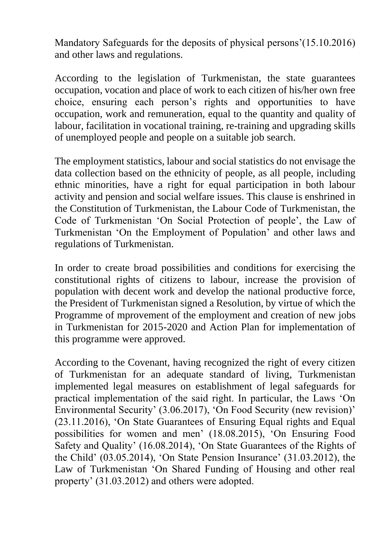Mandatory Safeguards for the deposits of physical persons'(15.10.2016) and other laws and regulations.

According to the legislation of Turkmenistan, the state guarantees occupation, vocation and place of work to each citizen of his/her own free choice, ensuring each person's rights and opportunities to have occupation, work and remuneration, equal to the quantity and quality of labour, facilitation in vocational training, re-training and upgrading skills of unemployed people and people on a suitable job search.

The employment statistics, labour and social statistics do not envisage the data collection based on the ethnicity of people, as all people, including ethnic minorities, have a right for equal participation in both labour activity and pension and social welfare issues. This clause is enshrined in the Constitution of Turkmenistan, the Labour Code of Turkmenistan, the Code of Turkmenistan 'On Social Protection of people', the Law of Turkmenistan 'On the Employment of Population' and other laws and regulations of Turkmenistan.

In order to create broad possibilities and conditions for exercising the constitutional rights of citizens to labour, increase the provision of population with decent work and develop the national productive force, the President of Turkmenistan signed a Resolution, by virtue of which the Programme of mprovement of the employment and creation of new jobs in Turkmenistan for 2015-2020 and Action Plan for implementation of this programme were approved.

According to the Covenant, having recognized the right of every citizen of Turkmenistan for an adequate standard of living, Turkmenistan implemented legal measures on establishment of legal safeguards for practical implementation of the said right. In particular, the Laws 'On Environmental Security' (3.06.2017), 'On Food Security (new revision)' (23.11.2016), 'On State Guarantees of Ensuring Equal rights and Equal possibilities for women and men' (18.08.2015), 'On Ensuring Food Safety and Quality' (16.08.2014), 'On State Guarantees of the Rights of the Child' (03.05.2014), 'On State Pension Insurance' (31.03.2012), the Law of Turkmenistan 'On Shared Funding of Housing and other real property' (31.03.2012) and others were adopted.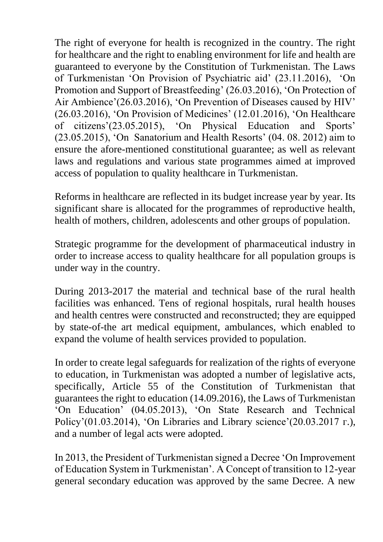The right of everyone for health is recognized in the country. The right for healthcare and the right to enabling environment for life and health are guaranteed to everyone by the Constitution of Turkmenistan. The Laws of Turkmenistan 'On Provision of Psychiatric aid' (23.11.2016), 'On Promotion and Support of Breastfeeding' (26.03.2016), 'On Protection of Air Ambience'(26.03.2016), 'On Prevention of Diseases caused by HIV' (26.03.2016), 'On Provision of Medicines' (12.01.2016), 'On Healthcare of citizens'(23.05.2015), 'On Physical Education and Sports' (23.05.2015), 'On Sanatorium and Health Resorts' (04. 08. 2012) aim to ensure the afore-mentioned constitutional guarantee; as well as relevant laws and regulations and various state programmes aimed at improved access of population to quality healthcare in Turkmenistan.

Reforms in healthcare are reflected in its budget increase year by year. Its significant share is allocated for the programmes of reproductive health, health of mothers, children, adolescents and other groups of population.

Strategic programme for the development of pharmaceutical industry in order to increase access to quality healthcare for all population groups is under way in the country.

During 2013-2017 the material and technical base of the rural health facilities was enhanced. Tens of regional hospitals, rural health houses and health centres were constructed and reconstructed; they are equipped by state-of-the art medical equipment, ambulances, which enabled to expand the volume of health services provided to population.

In order to create legal safeguards for realization of the rights of everyone to education, in Turkmenistan was adopted a number of legislative acts, specifically, Article 55 of the Constitution of Turkmenistan that guarantees the right to education (14.09.2016), the Laws of Turkmenistan 'On Education' (04.05.2013), 'On State Research and Technical Policy'(01.03.2014), 'On Libraries and Library science'(20.03.2017 г.), and a number of legal acts were adopted.

In 2013, the President of Turkmenistan signed a Decree 'On Improvement of Education System in Turkmenistan'. A Concept of transition to 12-year general secondary education was approved by the same Decree. A new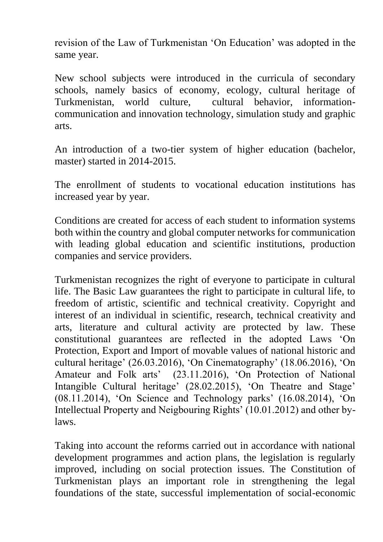revision of the Law of Turkmenistan 'On Education' was adopted in the same year.

New school subjects were introduced in the curricula of secondary schools, namely basics of economy, ecology, cultural heritage of Turkmenistan, world culture, cultural behavior, informationcommunication and innovation technology, simulation study and graphic arts.

An introduction of a two-tier system of higher education (bachelor, master) started in 2014-2015.

The enrollment of students to vocational education institutions has increased year by year.

Conditions are created for access of each student to information systems both within the country and global computer networks for communication with leading global education and scientific institutions, production companies and service providers.

Turkmenistan recognizes the right of everyone to participate in cultural life. The Basic Law guarantees the right to participate in cultural life, to freedom of artistic, scientific and technical creativity. Copyright and interest of an individual in scientific, research, technical creativity and arts, literature and cultural activity are protected by law. These constitutional guarantees are reflected in the adopted Laws 'On Protection, Export and Import of movable values of national historic and cultural heritage' (26.03.2016), 'On Cinematography' (18.06.2016), 'On Amateur and Folk arts' (23.11.2016), 'On Protection of National Intangible Cultural heritage' (28.02.2015), 'On Theatre and Stage' (08.11.2014), 'On Science and Technology parks' (16.08.2014), 'On Intellectual Property and Neigbouring Rights' (10.01.2012) and other bylaws.

Taking into account the reforms carried out in accordance with national development programmes and action plans, the legislation is regularly improved, including on social protection issues. The Constitution of Turkmenistan plays an important role in strengthening the legal foundations of the state, successful implementation of social-economic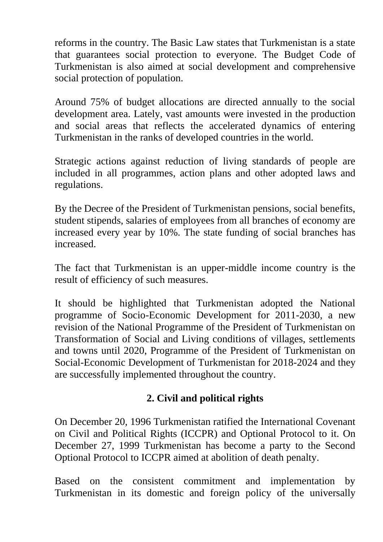reforms in the country. The Basic Law states that Turkmenistan is a state that guarantees social protection to everyone. The Budget Code of Turkmenistan is also aimed at social development and comprehensive social protection of population.

Around 75% of budget allocations are directed annually to the social development area. Lately, vast amounts were invested in the production and social areas that reflects the accelerated dynamics of entering Turkmenistan in the ranks of developed countries in the world.

Strategic actions against reduction of living standards of people are included in all programmes, action plans and other adopted laws and regulations.

By the Decree of the President of Turkmenistan pensions, social benefits, student stipends, salaries of employees from all branches of economy are increased every year by 10%. The state funding of social branches has increased.

The fact that Turkmenistan is an upper-middle income country is the result of efficiency of such measures.

It should be highlighted that Turkmenistan adopted the National programme of Socio-Economic Development for 2011-2030, a new revision of the National Programme of the President of Turkmenistan on Transformation of Social and Living conditions of villages, settlements and towns until 2020, Programme of the President of Turkmenistan on Social-Economic Development of Turkmenistan for 2018-2024 and they are successfully implemented throughout the country.

## **2. Civil and political rights**

On December 20, 1996 Turkmenistan ratified the International Covenant on Civil and Political Rights (ICCPR) and Optional Protocol to it. On December 27, 1999 Turkmenistan has become a party to the Second Optional Protocol to ICCPR aimed at abolition of death penalty.

Based on the consistent commitment and implementation by Turkmenistan in its domestic and foreign policy of the universally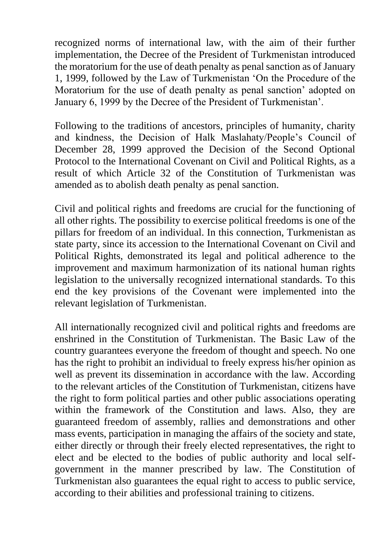recognized norms of international law, with the aim of their further implementation, the Decree of the President of Turkmenistan introduced the moratorium for the use of death penalty as penal sanction as of January 1, 1999, followed by the Law of Turkmenistan 'On the Procedure of the Moratorium for the use of death penalty as penal sanction' adopted on January 6, 1999 by the Decree of the President of Turkmenistan'.

Following to the traditions of ancestors, principles of humanity, charity and kindness, the Decision of Halk Maslahaty/People's Council of December 28, 1999 approved the Decision of the Second Optional Protocol to the International Covenant on Civil and Political Rights, as a result of which Article 32 of the Constitution of Turkmenistan was amended as to abolish death penalty as penal sanction.

Civil and political rights and freedoms are crucial for the functioning of all other rights. The possibility to exercise political freedoms is one of the pillars for freedom of an individual. In this connection, Turkmenistan as state party, since its accession to the International Covenant on Civil and Political Rights, demonstrated its legal and political adherence to the improvement and maximum harmonization of its national human rights legislation to the universally recognized international standards. To this end the key provisions of the Covenant were implemented into the relevant legislation of Turkmenistan.

All internationally recognized civil and political rights and freedoms are enshrined in the Constitution of Turkmenistan. The Basic Law of the country guarantees everyone the freedom of thought and speech. No one has the right to prohibit an individual to freely express his/her opinion as well as prevent its dissemination in accordance with the law. According to the relevant articles of the Constitution of Turkmenistan, citizens have the right to form political parties and other public associations operating within the framework of the Constitution and laws. Also, they are guaranteed freedom of assembly, rallies and demonstrations and other mass events, participation in managing the affairs of the society and state, either directly or through their freely elected representatives, the right to elect and be elected to the bodies of public authority and local selfgovernment in the manner prescribed by law. The Constitution of Turkmenistan also guarantees the equal right to access to public service, according to their abilities and professional training to citizens.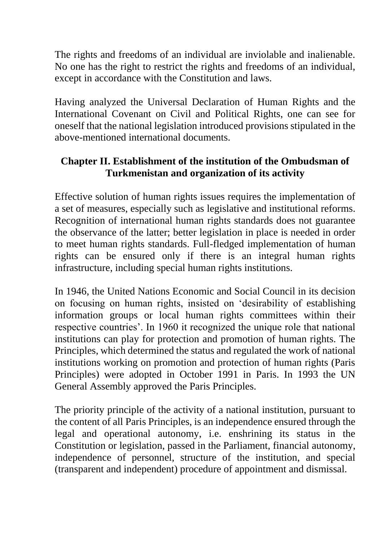The rights and freedoms of an individual are inviolable and inalienable. No one has the right to restrict the rights and freedoms of an individual, except in accordance with the Constitution and laws.

Having analyzed the Universal Declaration of Human Rights and the International Covenant on Civil and Political Rights, one can see for oneself that the national legislation introduced provisions stipulated in the above-mentioned international documents.

## **Chapter II. Establishment of the institution of the Ombudsman of Turkmenistan and organization of its activity**

Effective solution of human rights issues requires the implementation of a set of measures, especially such as legislative and institutional reforms. Recognition of international human rights standards does not guarantee the observance of the latter; better legislation in place is needed in order to meet human rights standards. Full-fledged implementation of human rights can be ensured only if there is an integral human rights infrastructure, including special human rights institutions.

In 1946, the United Nations Economic and Social Council in its decision on focusing on human rights, insisted on 'desirability of establishing information groups or local human rights committees within their respective countries'. In 1960 it recognized the unique role that national institutions can play for protection and promotion of human rights. The Principles, which determined the status and regulated the work of national institutions working on promotion and protection of human rights (Paris Principles) were adopted in October 1991 in Paris. In 1993 the UN General Assembly approved the Paris Principles.

The priority principle of the activity of a national institution, pursuant to the content of all Paris Principles, is an independence ensured through the legal and operational autonomy, i.e. enshrining its status in the Constitution or legislation, passed in the Parliament, financial autonomy, independence of personnel, structure of the institution, and special (transparent and independent) procedure of appointment and dismissal.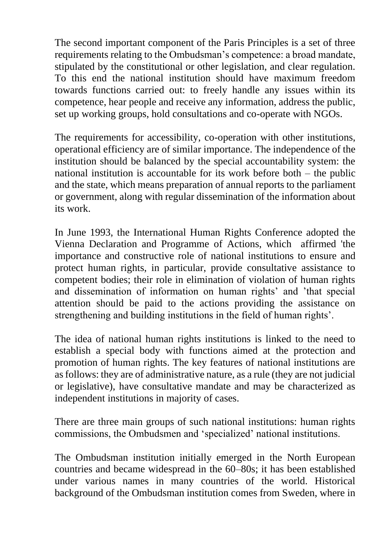The second important component of the Paris Principles is a set of three requirements relating to the Ombudsman's competence: a broad mandate, stipulated by the constitutional or other legislation, and clear regulation. To this end the national institution should have maximum freedom towards functions carried out: to freely handle any issues within its competence, hear people and receive any information, address the public, set up working groups, hold consultations and co-operate with NGOs.

The requirements for accessibility, co-operation with other institutions, operational efficiency are of similar importance. The independence of the institution should be balanced by the special accountability system: the national institution is accountable for its work before both – the public and the state, which means preparation of annual reports to the parliament or government, along with regular dissemination of the information about its work.

In June 1993, the International Human Rights Conference adopted the Vienna Declaration and Programme of Actions, which affirmed 'the importance and constructive role of national institutions to ensure and protect human rights, in particular, provide consultative assistance to competent bodies; their role in elimination of violation of human rights and dissemination of information on human rights' and 'that special attention should be paid to the actions providing the assistance on strengthening and building institutions in the field of human rights'.

The idea of national human rights institutions is linked to the need to establish a special body with functions aimed at the protection and promotion of human rights. The key features of national institutions are as follows: they are of administrative nature, as a rule (they are not judicial or legislative), have consultative mandate and may be characterized as independent institutions in majority of cases.

There are three main groups of such national institutions: human rights commissions, the Ombudsmen and 'specialized' national institutions.

The Ombudsman institution initially emerged in the North European countries and became widespread in the 60–80s; it has been established under various names in many countries of the world. Historical background of the Ombudsman institution comes from Sweden, where in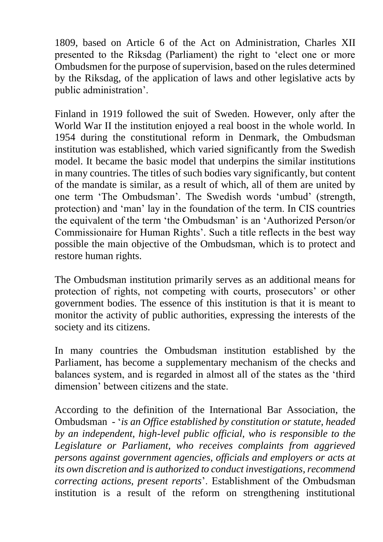1809, based on Article 6 of the Act on Administration, Charles XII presented to the Riksdag (Parliament) the right to 'elect one or more Ombudsmen for the purpose of supervision, based on the rules determined by the Riksdag, of the application of laws and other legislative acts by public administration'.

Finland in 1919 followed the suit of Sweden. However, only after the World War II the institution enjoyed a real boost in the whole world. In 1954 during the constitutional reform in Denmark, the Ombudsman institution was established, which varied significantly from the Swedish model. It became the basic model that underpins the similar institutions in many countries. The titles of such bodies vary significantly, but content of the mandate is similar, as a result of which, all of them are united by one term 'The Ombudsman'. The Swedish words 'umbud' (strength, protection) and 'man' lay in the foundation of the term. In CIS countries the equivalent of the term 'the Ombudsman' is an 'Authorized Person/or Commissionaire for Human Rights'. Such a title reflects in the best way possible the main objective of the Ombudsman, which is to protect and restore human rights.

The Ombudsman institution primarily serves as an additional means for protection of rights, not competing with courts, prosecutors' or other government bodies. The essence of this institution is that it is meant to monitor the activity of public authorities, expressing the interests of the society and its citizens.

In many countries the Ombudsman institution established by the Parliament, has become a supplementary mechanism of the checks and balances system, and is regarded in almost all of the states as the 'third dimension' between citizens and the state.

According to the definition of the International Bar Association, the Ombudsman - '*is an Office established by constitution or statute, headed by an independent, high-level public official, who is responsible to the Legislature or Parliament, who receives complaints from aggrieved persons against government agencies, officials and employers or acts at its own discretion and is authorized to conduct investigations, recommend correcting actions, present reports*'. Establishment of the Ombudsman institution is a result of the reform on strengthening institutional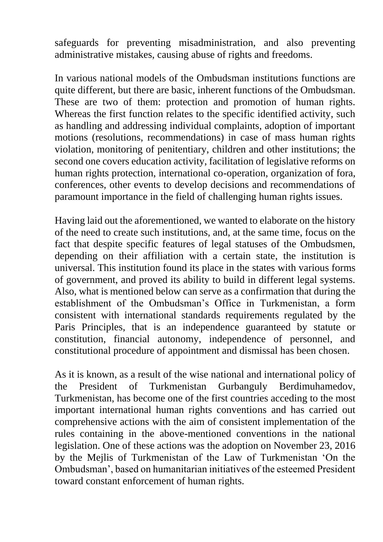safeguards for preventing misadministration, and also preventing administrative mistakes, causing abuse of rights and freedoms.

In various national models of the Ombudsman institutions functions are quite different, but there are basic, inherent functions of the Ombudsman. These are two of them: protection and promotion of human rights. Whereas the first function relates to the specific identified activity, such as handling and addressing individual complaints, adoption of important motions (resolutions, recommendations) in case of mass human rights violation, monitoring of penitentiary, children and other institutions; the second one covers education activity, facilitation of legislative reforms on human rights protection, international co-operation, organization of fora, conferences, other events to develop decisions and recommendations of paramount importance in the field of challenging human rights issues.

Having laid out the aforementioned, we wanted to elaborate on the history of the need to create such institutions, and, at the same time, focus on the fact that despite specific features of legal statuses of the Ombudsmen, depending on their affiliation with a certain state, the institution is universal. This institution found its place in the states with various forms of government, and proved its ability to build in different legal systems. Also, what is mentioned below can serve as a confirmation that during the establishment of the Ombudsman's Office in Turkmenistan, a form consistent with international standards requirements regulated by the Paris Principles, that is an independence guaranteed by statute or constitution, financial autonomy, independence of personnel, and constitutional procedure of appointment and dismissal has been chosen.

As it is known, as a result of the wise national and international policy of the President of Turkmenistan Gurbanguly Berdimuhamedov, Turkmenistan, has become one of the first countries acceding to the most important international human rights conventions and has carried out comprehensive actions with the aim of consistent implementation of the rules containing in the above-mentioned conventions in the national legislation. One of these actions was the adoption on November 23, 2016 by the Mejlis of Turkmenistan of the Law of Turkmenistan 'On the Ombudsman', based on humanitarian initiatives of the esteemed President toward constant enforcement of human rights.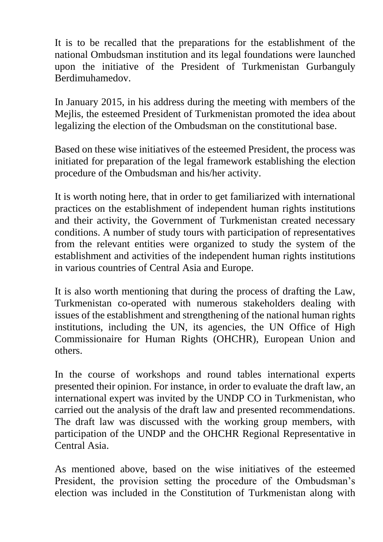It is to be recalled that the preparations for the establishment of the national Ombudsman institution and its legal foundations were launched upon the initiative of the President of Turkmenistan Gurbanguly Berdimuhamedov.

In January 2015, in his address during the meeting with members of the Mejlis, the esteemed President of Turkmenistan promoted the idea about legalizing the election of the Ombudsman on the constitutional base.

Based on these wise initiatives of the esteemed President, the process was initiated for preparation of the legal framework establishing the election procedure of the Ombudsman and his/her activity.

It is worth noting here, that in order to get familiarized with international practices on the establishment of independent human rights institutions and their activity, the Government of Turkmenistan created necessary conditions. A number of study tours with participation of representatives from the relevant entities were organized to study the system of the establishment and activities of the independent human rights institutions in various countries of Central Asia and Europe.

It is also worth mentioning that during the process of drafting the Law, Turkmenistan co-operated with numerous stakeholders dealing with issues of the establishment and strengthening of the national human rights institutions, including the UN, its agencies, the UN Office of High Commissionaire for Human Rights (OHCHR), European Union and others.

In the course of workshops and round tables international experts presented their opinion. For instance, in order to evaluate the draft law, an international expert was invited by the UNDP CO in Turkmenistan, who carried out the analysis of the draft law and presented recommendations. The draft law was discussed with the working group members, with participation of the UNDP and the OHCHR Regional Representative in Central Asia.

As mentioned above, based on the wise initiatives of the esteemed President, the provision setting the procedure of the Ombudsman's election was included in the Constitution of Turkmenistan along with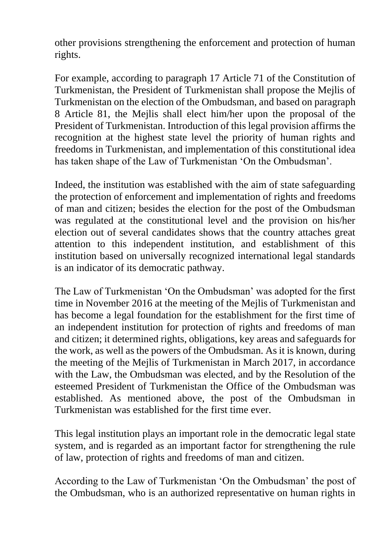other provisions strengthening the enforcement and protection of human rights.

For example, according to paragraph 17 Article 71 of the Constitution of Turkmenistan, the President of Turkmenistan shall propose the Mejlis of Turkmenistan on the election of the Ombudsman, and based on paragraph 8 Article 81, the Mejlis shall elect him/her upon the proposal of the President of Turkmenistan. Introduction of this legal provision affirms the recognition at the highest state level the priority of human rights and freedoms in Turkmenistan, and implementation of this constitutional idea has taken shape of the Law of Turkmenistan 'On the Ombudsman'.

Indeed, the institution was established with the aim of state safeguarding the protection of enforcement and implementation of rights and freedoms of man and citizen; besides the election for the post of the Ombudsman was regulated at the constitutional level and the provision on his/her election out of several candidates shows that the country attaches great attention to this independent institution, and establishment of this institution based on universally recognized international legal standards is an indicator of its democratic pathway.

The Law of Turkmenistan 'On the Ombudsman' was adopted for the first time in November 2016 at the meeting of the Mejlis of Turkmenistan and has become a legal foundation for the establishment for the first time of an independent institution for protection of rights and freedoms of man and citizen; it determined rights, obligations, key areas and safeguards for the work, as well as the powers of the Ombudsman. As it is known, during the meeting of the Mejlis of Turkmenistan in March 2017, in accordance with the Law, the Ombudsman was elected, and by the Resolution of the esteemed President of Turkmenistan the Office of the Ombudsman was established. As mentioned above, the post of the Ombudsman in Turkmenistan was established for the first time ever.

This legal institution plays an important role in the democratic legal state system, and is regarded as an important factor for strengthening the rule of law, protection of rights and freedoms of man and citizen.

According to the Law of Turkmenistan 'On the Ombudsman' the post of the Ombudsman, who is an authorized representative on human rights in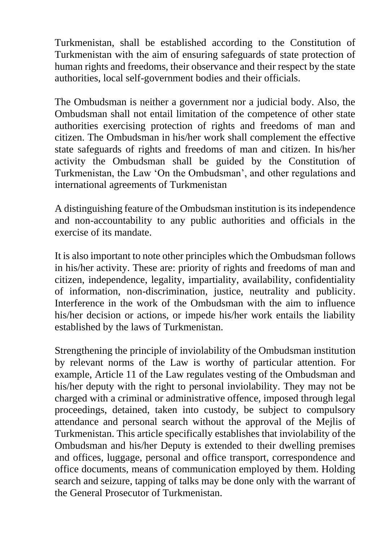Turkmenistan, shall be established according to the Constitution of Turkmenistan with the aim of ensuring safeguards of state protection of human rights and freedoms, their observance and their respect by the state authorities, local self-government bodies and their officials.

The Ombudsman is neither a government nor a judicial body. Also, the Ombudsman shall not entail limitation of the competence of other state authorities exercising protection of rights and freedoms of man and citizen. The Ombudsman in his/her work shall complement the effective state safeguards of rights and freedoms of man and citizen. In his/her activity the Ombudsman shall be guided by the Constitution of Turkmenistan, the Law 'On the Ombudsman', and other regulations and international agreements of Turkmenistan

A distinguishing feature of the Ombudsman institution is its independence and non-accountability to any public authorities and officials in the exercise of its mandate.

It is also important to note other principles which the Ombudsman follows in his/her activity. These are: priority of rights and freedoms of man and citizen, independence, legality, impartiality, availability, confidentiality of information, non-discrimination, justice, neutrality and publicity. Interference in the work of the Ombudsman with the aim to influence his/her decision or actions, or impede his/her work entails the liability established by the laws of Turkmenistan.

Strengthening the principle of inviolability of the Ombudsman institution by relevant norms of the Law is worthy of particular attention. For example, Article 11 of the Law regulates vesting of the Ombudsman and his/her deputy with the right to personal inviolability. They may not be charged with a criminal or administrative offence, imposed through legal proceedings, detained, taken into custody, be subject to compulsory attendance and personal search without the approval of the Mejlis of Turkmenistan. This article specifically establishes that inviolability of the Ombudsman and his/her Deputy is extended to their dwelling premises and offices, luggage, personal and office transport, correspondence and office documents, means of communication employed by them. Holding search and seizure, tapping of talks may be done only with the warrant of the General Prosecutor of Turkmenistan.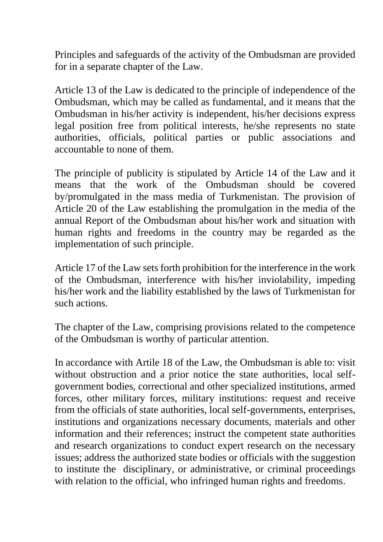Principles and safeguards of the activity of the Ombudsman are provided for in a separate chapter of the Law.

Article 13 of the Law is dedicated to the principle of independence of the Ombudsman, which may be called as fundamental, and it means that the Ombudsman in his/her activity is independent, his/her decisions express legal position free from political interests, he/she represents no state authorities, officials, political parties or public associations and accountable to none of them.

The principle of publicity is stipulated by Article 14 of the Law and it means that the work of the Ombudsman should be covered by/promulgated in the mass media of Turkmenistan. The provision of Article 20 of the Law establishing the promulgation in the media of the annual Report of the Ombudsman about his/her work and situation with human rights and freedoms in the country may be regarded as the implementation of such principle.

Article 17 of the Law sets forth prohibition for the interference in the work of the Ombudsman, interference with his/her inviolability, impeding his/her work and the liability established by the laws of Turkmenistan for such actions.

The chapter of the Law, comprising provisions related to the competence of the Ombudsman is worthy of particular attention.

In accordance with Artile 18 of the Law, the Ombudsman is able to: visit without obstruction and a prior notice the state authorities, local selfgovernment bodies, correctional and other specialized institutions, armed forces, other military forces, military institutions: request and receive from the officials of state authorities, local self-governments, enterprises, institutions and organizations necessary documents, materials and other information and their references; instruct the competent state authorities and research organizations to conduct expert research on the necessary issues; address the authorized state bodies or officials with the suggestion to institute the disciplinary, or administrative, or criminal proceedings with relation to the official, who infringed human rights and freedoms.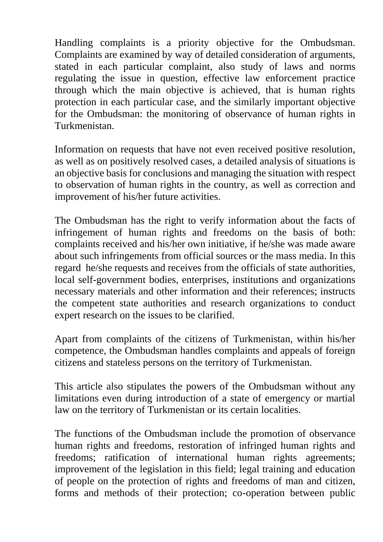Handling complaints is a priority objective for the Ombudsman. Complaints are examined by way of detailed consideration of arguments, stated in each particular complaint, also study of laws and norms regulating the issue in question, effective law enforcement practice through which the main objective is achieved, that is human rights protection in each particular case, and the similarly important objective for the Ombudsman: the monitoring of observance of human rights in Turkmenistan.

Information on requests that have not even received positive resolution, as well as on positively resolved cases, a detailed analysis of situations is an objective basis for conclusions and managing the situation with respect to observation of human rights in the country, as well as correction and improvement of his/her future activities.

The Ombudsman has the right to verify information about the facts of infringement of human rights and freedoms on the basis of both: complaints received and his/her own initiative, if he/she was made aware about such infringements from official sources or the mass media. In this regard he/she requests and receives from the officials of state authorities, local self-government bodies, enterprises, institutions and organizations necessary materials and other information and their references; instructs the competent state authorities and research organizations to conduct expert research on the issues to be clarified.

Apart from complaints of the citizens of Turkmenistan, within his/her competence, the Ombudsman handles complaints and appeals of foreign citizens and stateless persons on the territory of Turkmenistan.

This article also stipulates the powers of the Ombudsman without any limitations even during introduction of a state of emergency or martial law on the territory of Turkmenistan or its certain localities.

The functions of the Ombudsman include the promotion of observance human rights and freedoms, restoration of infringed human rights and freedoms; ratification of international human rights agreements; improvement of the legislation in this field; legal training and education of people on the protection of rights and freedoms of man and citizen, forms and methods of their protection; co-operation between public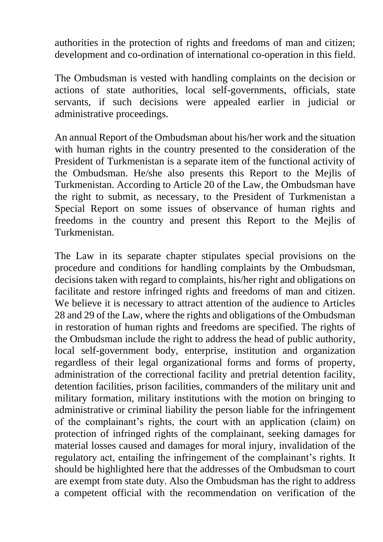authorities in the protection of rights and freedoms of man and citizen; development and co-ordination of international co-operation in this field.

The Ombudsman is vested with handling complaints on the decision or actions of state authorities, local self-governments, officials, state servants, if such decisions were appealed earlier in judicial or administrative proceedings.

An annual Report of the Ombudsman about his/her work and the situation with human rights in the country presented to the consideration of the President of Turkmenistan is a separate item of the functional activity of the Ombudsman. He/she also presents this Report to the Mejlis of Turkmenistan. According to Article 20 of the Law, the Ombudsman have the right to submit, as necessary, to the President of Turkmenistan a Special Report on some issues of observance of human rights and freedoms in the country and present this Report to the Mejlis of Turkmenistan.

The Law in its separate chapter stipulates special provisions on the procedure and conditions for handling complaints by the Ombudsman, decisions taken with regard to complaints, his/her right and obligations on facilitate and restore infringed rights and freedoms of man and citizen. We believe it is necessary to attract attention of the audience to Articles 28 and 29 of the Law, where the rights and obligations of the Ombudsman in restoration of human rights and freedoms are specified. The rights of the Ombudsman include the right to address the head of public authority, local self-government body, enterprise, institution and organization regardless of their legal organizational forms and forms of property, administration of the correctional facility and pretrial detention facility, detention facilities, prison facilities, commanders of the military unit and military formation, military institutions with the motion on bringing to administrative or criminal liability the person liable for the infringement of the complainant's rights, the court with an application (claim) on protection of infringed rights of the complainant, seeking damages for material losses caused and damages for moral injury, invalidation of the regulatory act, entailing the infringement of the complainant's rights. It should be highlighted here that the addresses of the Ombudsman to court are exempt from state duty. Also the Ombudsman has the right to address a competent official with the recommendation on verification of the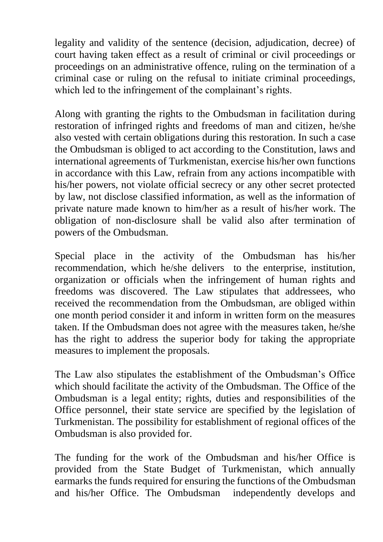legality and validity of the sentence (decision, adjudication, decree) of court having taken effect as a result of criminal or civil proceedings or proceedings on an administrative offence, ruling on the termination of a criminal case or ruling on the refusal to initiate criminal proceedings, which led to the infringement of the complainant's rights.

Along with granting the rights to the Ombudsman in facilitation during restoration of infringed rights and freedoms of man and citizen, he/she also vested with certain obligations during this restoration. In such a case the Ombudsman is obliged to act according to the Constitution, laws and international agreements of Turkmenistan, exercise his/her own functions in accordance with this Law, refrain from any actions incompatible with his/her powers, not violate official secrecy or any other secret protected by law, not disclose classified information, as well as the information of private nature made known to him/her as a result of his/her work. The obligation of non-disclosure shall be valid also after termination of powers of the Ombudsman.

Special place in the activity of the Ombudsman has his/her recommendation, which he/she delivers to the enterprise, institution, organization or officials when the infringement of human rights and freedoms was discovered. The Law stipulates that addressees, who received the recommendation from the Ombudsman, are obliged within one month period consider it and inform in written form on the measures taken. If the Ombudsman does not agree with the measures taken, he/she has the right to address the superior body for taking the appropriate measures to implement the proposals.

The Law also stipulates the establishment of the Ombudsman's Office which should facilitate the activity of the Ombudsman. The Office of the Ombudsman is a legal entity; rights, duties and responsibilities of the Office personnel, their state service are specified by the legislation of Turkmenistan. The possibility for establishment of regional offices of the Ombudsman is also provided for.

The funding for the work of the Ombudsman and his/her Office is provided from the State Budget of Turkmenistan, which annually earmarks the funds required for ensuring the functions of the Ombudsman and his/her Office. The Ombudsman independently develops and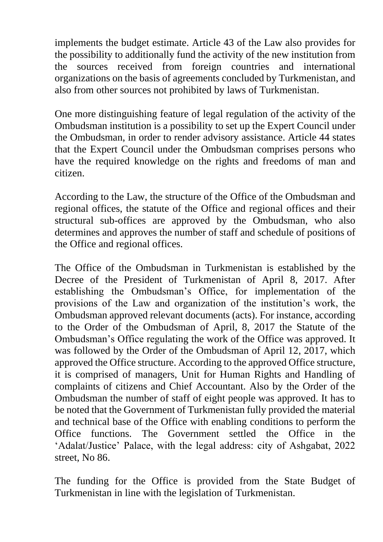implements the budget estimate. Article 43 of the Law also provides for the possibility to additionally fund the activity of the new institution from the sources received from foreign countries and international organizations on the basis of agreements concluded by Turkmenistan, and also from other sources not prohibited by laws of Turkmenistan.

One more distinguishing feature of legal regulation of the activity of the Ombudsman institution is a possibility to set up the Expert Council under the Ombudsman, in order to render advisory assistance. Article 44 states that the Expert Council under the Ombudsman comprises persons who have the required knowledge on the rights and freedoms of man and citizen.

According to the Law, the structure of the Office of the Ombudsman and regional offices, the statute of the Office and regional offices and their structural sub-offices are approved by the Ombudsman, who also determines and approves the number of staff and schedule of positions of the Office and regional offices.

The Office of the Ombudsman in Turkmenistan is established by the Decree of the President of Turkmenistan of April 8, 2017. After establishing the Ombudsman's Office, for implementation of the provisions of the Law and organization of the institution's work, the Ombudsman approved relevant documents (acts). For instance, according to the Order of the Ombudsman of April, 8, 2017 the Statute of the Ombudsman's Office regulating the work of the Office was approved. It was followed by the Order of the Ombudsman of April 12, 2017, which approved the Office structure. According to the approved Office structure, it is comprised of managers, Unit for Human Rights and Handling of complaints of citizens and Chief Accountant. Also by the Order of the Ombudsman the number of staff of eight people was approved. It has to be noted that the Government of Turkmenistan fully provided the material and technical base of the Office with enabling conditions to perform the Office functions. The Government settled the Office in the 'Adalat/Justice' Palace, with the legal address: city of Ashgabat, 2022 street, No 86.

The funding for the Office is provided from the State Budget of Turkmenistan in line with the legislation of Turkmenistan.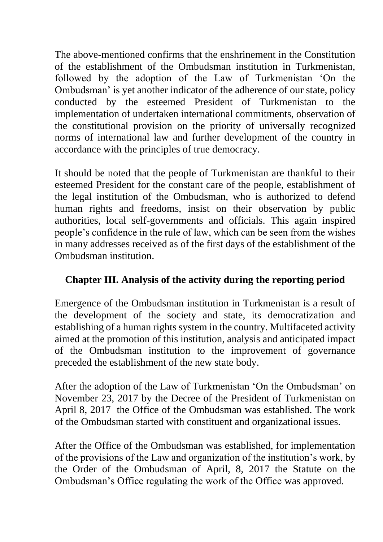The above-mentioned confirms that the enshrinement in the Constitution of the establishment of the Ombudsman institution in Turkmenistan, followed by the adoption of the Law of Turkmenistan 'On the Ombudsman' is yet another indicator of the adherence of our state, policy conducted by the esteemed President of Turkmenistan to the implementation of undertaken international commitments, observation of the constitutional provision on the priority of universally recognized norms of international law and further development of the country in accordance with the principles of true democracy.

It should be noted that the people of Turkmenistan are thankful to their esteemed President for the constant care of the people, establishment of the legal institution of the Ombudsman, who is authorized to defend human rights and freedoms, insist on their observation by public authorities, local self-governments and officials. This again inspired people's confidence in the rule of law, which can be seen from the wishes in many addresses received as of the first days of the establishment of the Ombudsman institution.

# **Chapter III. Analysis of the activity during the reporting period**

Emergence of the Ombudsman institution in Turkmenistan is a result of the development of the society and state, its democratization and establishing of a human rights system in the country. Multifaceted activity aimed at the promotion of this institution, analysis and anticipated impact of the Ombudsman institution to the improvement of governance preceded the establishment of the new state body.

After the adoption of the Law of Turkmenistan 'On the Ombudsman' on November 23, 2017 by the Decree of the President of Turkmenistan on April 8, 2017 the Office of the Ombudsman was established. The work of the Ombudsman started with constituent and organizational issues.

After the Office of the Ombudsman was established, for implementation of the provisions of the Law and organization of the institution's work, by the Order of the Ombudsman of April, 8, 2017 the Statute on the Ombudsman's Office regulating the work of the Office was approved.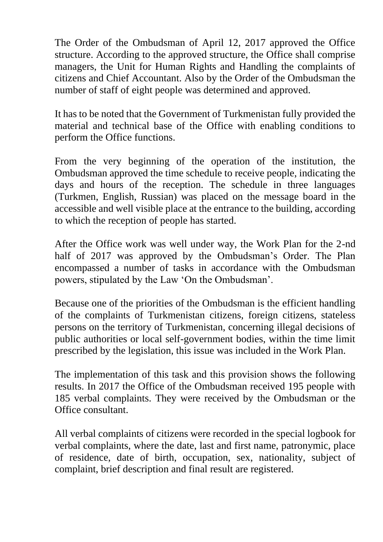The Order of the Ombudsman of April 12, 2017 approved the Office structure. According to the approved structure, the Office shall comprise managers, the Unit for Human Rights and Handling the complaints of citizens and Chief Accountant. Also by the Order of the Ombudsman the number of staff of eight people was determined and approved.

It has to be noted that the Government of Turkmenistan fully provided the material and technical base of the Office with enabling conditions to perform the Office functions.

From the very beginning of the operation of the institution, the Ombudsman approved the time schedule to receive people, indicating the days and hours of the reception. The schedule in three languages (Turkmen, English, Russian) was placed on the message board in the accessible and well visible place at the entrance to the building, according to which the reception of people has started.

After the Office work was well under way, the Work Plan for the 2-nd half of 2017 was approved by the Ombudsman's Order. The Plan encompassed a number of tasks in accordance with the Ombudsman powers, stipulated by the Law 'On the Ombudsman'.

Because one of the priorities of the Ombudsman is the efficient handling of the complaints of Turkmenistan citizens, foreign citizens, stateless persons on the territory of Turkmenistan, concerning illegal decisions of public authorities or local self-government bodies, within the time limit prescribed by the legislation, this issue was included in the Work Plan.

The implementation of this task and this provision shows the following results. In 2017 the Office of the Ombudsman received 195 people with 185 verbal complaints. They were received by the Ombudsman or the Office consultant.

All verbal complaints of citizens were recorded in the special logbook for verbal complaints, where the date, last and first name, patronymic, place of residence, date of birth, occupation, sex, nationality, subject of complaint, brief description and final result are registered.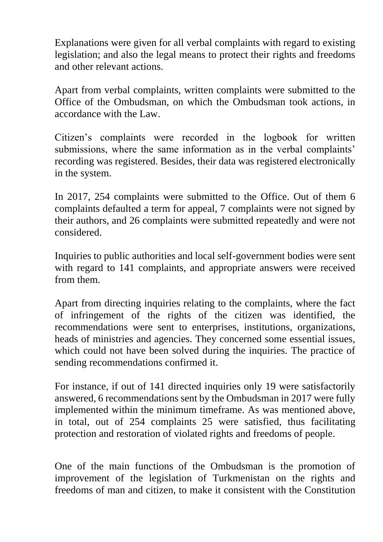Explanations were given for all verbal complaints with regard to existing legislation; and also the legal means to protect their rights and freedoms and other relevant actions.

Apart from verbal complaints, written complaints were submitted to the Office of the Ombudsman, on which the Ombudsman took actions, in accordance with the Law.

Citizen's complaints were recorded in the logbook for written submissions, where the same information as in the verbal complaints' recording was registered. Besides, their data was registered electronically in the system.

In 2017, 254 complaints were submitted to the Office. Out of them 6 complaints defaulted a term for appeal, 7 complaints were not signed by their authors, and 26 complaints were submitted repeatedly and were not considered.

Inquiries to public authorities and local self-government bodies were sent with regard to 141 complaints, and appropriate answers were received from them.

Apart from directing inquiries relating to the complaints, where the fact of infringement of the rights of the citizen was identified, the recommendations were sent to enterprises, institutions, organizations, heads of ministries and agencies. They concerned some essential issues, which could not have been solved during the inquiries. The practice of sending recommendations confirmed it.

For instance, if out of 141 directed inquiries only 19 were satisfactorily answered, 6 recommendations sent by the Ombudsman in 2017 were fully implemented within the minimum timeframe. As was mentioned above, in total, out of 254 complaints 25 were satisfied, thus facilitating protection and restoration of violated rights and freedoms of people.

One of the main functions of the Ombudsman is the promotion of improvement of the legislation of Turkmenistan on the rights and freedoms of man and citizen, to make it consistent with the Constitution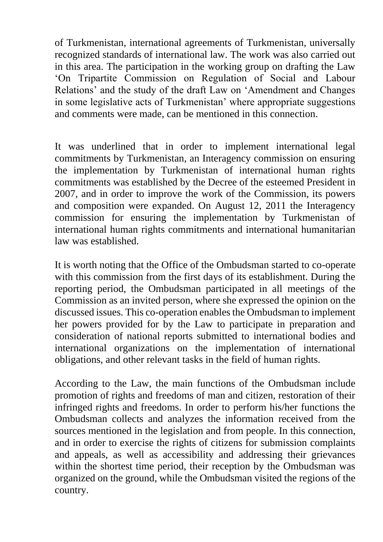of Turkmenistan, international agreements of Turkmenistan, universally recognized standards of international law. The work was also carried out in this area. The participation in the working group on drafting the Law 'On Tripartite Commission on Regulation of Social and Labour Relations' and the study of the draft Law on 'Amendment and Changes in some legislative acts of Turkmenistan' where appropriate suggestions and comments were made, can be mentioned in this connection.

It was underlined that in order to implement international legal commitments by Turkmenistan, an Interagency commission on ensuring the implementation by Turkmenistan of international human rights commitments was established by the Decree of the esteemed President in 2007, and in order to improve the work of the Commission, its powers and composition were expanded. On August 12, 2011 the Interagency commission for ensuring the implementation by Turkmenistan of international human rights commitments and international humanitarian law was established.

It is worth noting that the Office of the Ombudsman started to co-operate with this commission from the first days of its establishment. During the reporting period, the Ombudsman participated in all meetings of the Commission as an invited person, where she expressed the opinion on the discussed issues. This co-operation enables the Ombudsman to implement her powers provided for by the Law to participate in preparation and consideration of national reports submitted to international bodies and international organizations on the implementation of international obligations, and other relevant tasks in the field of human rights.

According to the Law, the main functions of the Ombudsman include promotion of rights and freedoms of man and citizen, restoration of their infringed rights and freedoms. In order to perform his/her functions the Ombudsman collects and analyzes the information received from the sources mentioned in the legislation and from people. In this connection, and in order to exercise the rights of citizens for submission complaints and appeals, as well as accessibility and addressing their grievances within the shortest time period, their reception by the Ombudsman was organized on the ground, while the Ombudsman visited the regions of the country.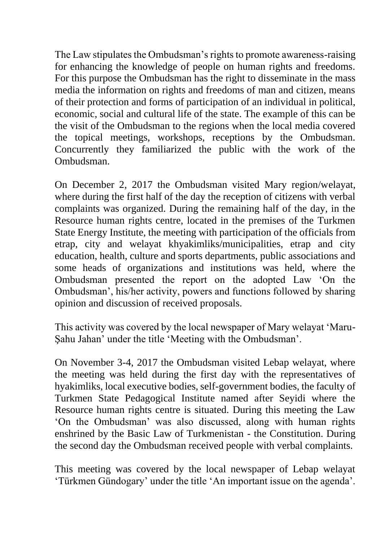The Law stipulates the Ombudsman's rights to promote awareness-raising for enhancing the knowledge of people on human rights and freedoms. For this purpose the Ombudsman has the right to disseminate in the mass media the information on rights and freedoms of man and citizen, means of their protection and forms of participation of an individual in political, economic, social and cultural life of the state. The example of this can be the visit of the Ombudsman to the regions when the local media covered the topical meetings, workshops, receptions by the Ombudsman. Concurrently they familiarized the public with the work of the Ombudsman.

On December 2, 2017 the Ombudsman visited Mary region/welayat, where during the first half of the day the reception of citizens with verbal complaints was organized. During the remaining half of the day, in the Resource human rights centre, located in the premises of the Turkmen State Energy Institute, the meeting with participation of the officials from etrap, city and welayat khyakimliks/municipalities, etrap and city education, health, culture and sports departments, public associations and some heads of organizations and institutions was held, where the Ombudsman presented the report on the adopted Law 'On the Ombudsman', his/her activity, powers and functions followed by sharing opinion and discussion of received proposals.

This activity was covered by the local newspaper of Mary welayat 'Maru-Şahu Jahan' under the title 'Meeting with the Ombudsman'.

On November 3-4, 2017 the Ombudsman visited Lebap welayat, where the meeting was held during the first day with the representatives of hyakimliks, local executive bodies, self-government bodies, the faculty of Turkmen State Pedagogical Institute named after Seyidi where the Resource human rights centre is situated. During this meeting the Law 'On the Ombudsman' was also discussed, along with human rights enshrined by the Basic Law of Turkmenistan - the Constitution. During the second day the Ombudsman received people with verbal complaints.

This meeting was covered by the local newspaper of Lebap welayat 'Türkmen Gündogary' under the title 'An important issue on the agenda'.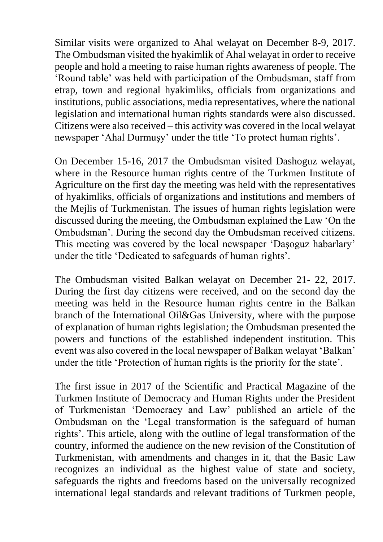Similar visits were organized to Ahal welayat on December 8-9, 2017. The Ombudsman visited the hyakimlik of Ahal welayat in order to receive people and hold a meeting to raise human rights awareness of people. The 'Round table' was held with participation of the Ombudsman, staff from etrap, town and regional hyakimliks, officials from organizations and institutions, public associations, media representatives, where the national legislation and international human rights standards were also discussed. Citizens were also received – this activity was covered in the local welayat newspaper 'Ahal Durmuşy' under the title 'To protect human rights'.

On December 15-16, 2017 the Ombudsman visited Dashoguz welayat, where in the Resource human rights centre of the Turkmen Institute of Agriculture on the first day the meeting was held with the representatives of hyakimliks, officials of organizations and institutions and members of the Mejlis of Turkmenistan. The issues of human rights legislation were discussed during the meeting, the Ombudsman explained the Law 'On the Ombudsman'. During the second day the Ombudsman received citizens. This meeting was covered by the local newspaper 'Daşoguz habarlary' under the title 'Dedicated to safeguards of human rights'.

The Ombudsman visited Balkan welayat on December 21- 22, 2017. During the first day citizens were received, and on the second day the meeting was held in the Resource human rights centre in the Balkan branch of the International Oil&Gas University, where with the purpose of explanation of human rights legislation; the Ombudsman presented the powers and functions of the established independent institution. This event was also covered in the local newspaper of Balkan welayat 'Balkan' under the title 'Protection of human rights is the priority for the state'.

The first issue in 2017 of the Scientific and Practical Magazine of the Turkmen Institute of Democracy and Human Rights under the President of Turkmenistan 'Democracy and Law' published an article of the Ombudsman on the 'Legal transformation is the safeguard of human rights'. This article, along with the outline of legal transformation of the country, informed the audience on the new revision of the Constitution of Turkmenistan, with amendments and changes in it, that the Basic Law recognizes an individual as the highest value of state and society, safeguards the rights and freedoms based on the universally recognized international legal standards and relevant traditions of Turkmen people,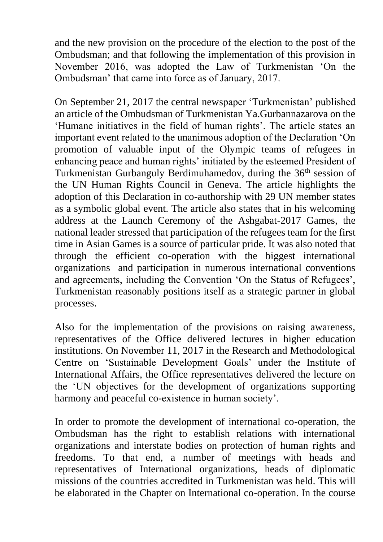and the new provision on the procedure of the election to the post of the Ombudsman; and that following the implementation of this provision in November 2016, was adopted the Law of Turkmenistan 'On the Ombudsman' that came into force as of January, 2017.

On September 21, 2017 the central newspaper 'Turkmenistan' published an article of the Ombudsman of Turkmenistan Ya.Gurbannazarova on the 'Humane initiatives in the field of human rights'. The article states an important event related to the unanimous adoption of the Declaration 'On promotion of valuable input of the Olympic teams of refugees in enhancing peace and human rights' initiated by the esteemed President of Turkmenistan Gurbanguly Berdimuhamedov, during the 36<sup>th</sup> session of the UN Human Rights Council in Geneva. The article highlights the adoption of this Declaration in co-authorship with 29 UN member states as a symbolic global event. The article also states that in his welcoming address at the Launch Ceremony of the Ashgabat-2017 Games, the national leader stressed that participation of the refugees team for the first time in Asian Games is a source of particular pride. It was also noted that through the efficient co-operation with the biggest international organizations and participation in numerous international conventions and agreements, including the Convention 'On the Status of Refugees', Turkmenistan reasonably positions itself as a strategic partner in global processes.

Also for the implementation of the provisions on raising awareness, representatives of the Office delivered lectures in higher education institutions. On November 11, 2017 in the Research and Methodological Centre on 'Sustainable Development Goals' under the Institute of International Affairs, the Office representatives delivered the lecture on the 'UN objectives for the development of organizations supporting harmony and peaceful co-existence in human society'.

In order to promote the development of international co-operation, the Ombudsman has the right to establish relations with international organizations and interstate bodies on protection of human rights and freedoms. To that end, a number of meetings with heads and representatives of International organizations, heads of diplomatic missions of the countries accredited in Turkmenistan was held. This will be elaborated in the Chapter on International co-operation. In the course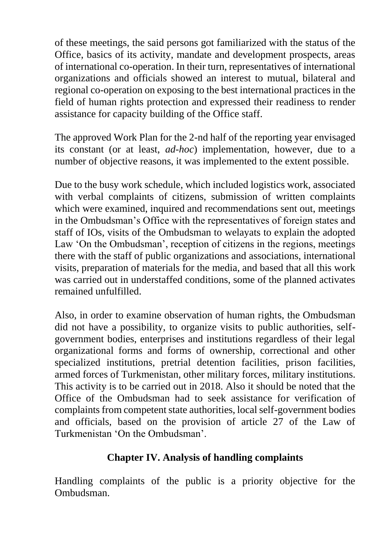of these meetings, the said persons got familiarized with the status of the Office, basics of its activity, mandate and development prospects, areas of international co-operation. In their turn, representatives of international organizations and officials showed an interest to mutual, bilateral and regional co-operation on exposing to the best international practices in the field of human rights protection and expressed their readiness to render assistance for capacity building of the Office staff.

The approved Work Plan for the 2-nd half of the reporting year envisaged its constant (or at least, *ad-hoc*) implementation, however, due to a number of objective reasons, it was implemented to the extent possible.

Due to the busy work schedule, which included logistics work, associated with verbal complaints of citizens, submission of written complaints which were examined, inquired and recommendations sent out, meetings in the Ombudsman's Office with the representatives of foreign states and staff of IOs, visits of the Ombudsman to welayats to explain the adopted Law 'On the Ombudsman', reception of citizens in the regions, meetings there with the staff of public organizations and associations, international visits, preparation of materials for the media, and based that all this work was carried out in understaffed conditions, some of the planned activates remained unfulfilled.

Also, in order to examine observation of human rights, the Ombudsman did not have a possibility, to organize visits to public authorities, selfgovernment bodies, enterprises and institutions regardless of their legal organizational forms and forms of ownership, correctional and other specialized institutions, pretrial detention facilities, prison facilities, armed forces of Turkmenistan, other military forces, military institutions. This activity is to be carried out in 2018. Also it should be noted that the Office of the Ombudsman had to seek assistance for verification of complaints from competent state authorities, local self-government bodies and officials, based on the provision of article 27 of the Law of Turkmenistan 'On the Ombudsman'.

### **Chapter IV. Analysis of handling complaints**

Handling complaints of the public is a priority objective for the Ombudsman.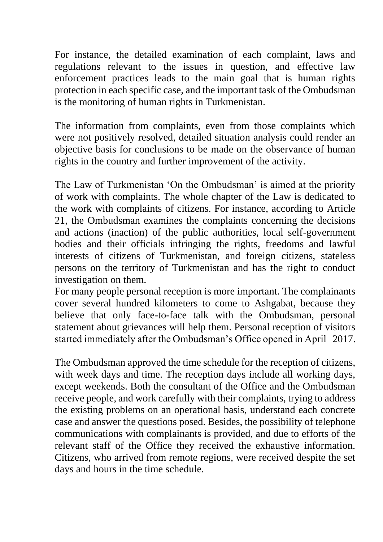For instance, the detailed examination of each complaint, laws and regulations relevant to the issues in question, and effective law enforcement practices leads to the main goal that is human rights protection in each specific case, and the important task of the Ombudsman is the monitoring of human rights in Turkmenistan.

The information from complaints, even from those complaints which were not positively resolved, detailed situation analysis could render an objective basis for conclusions to be made on the observance of human rights in the country and further improvement of the activity.

The Law of Turkmenistan 'On the Ombudsman' is aimed at the priority of work with complaints. The whole chapter of the Law is dedicated to the work with complaints of citizens. For instance, according to Article 21, the Ombudsman examines the complaints concerning the decisions and actions (inaction) of the public authorities, local self-government bodies and their officials infringing the rights, freedoms and lawful interests of citizens of Turkmenistan, and foreign citizens, stateless persons on the territory of Turkmenistan and has the right to conduct investigation on them.

For many people personal reception is more important. The complainants cover several hundred kilometers to come to Ashgabat, because they believe that only face-to-face talk with the Ombudsman, personal statement about grievances will help them. Personal reception of visitors started immediately after the Ombudsman's Office opened in April 2017.

The Ombudsman approved the time schedule for the reception of citizens, with week days and time. The reception days include all working days, except weekends. Both the consultant of the Office and the Ombudsman receive people, and work carefully with their complaints, trying to address the existing problems on an operational basis, understand each concrete case and answer the questions posed. Besides, the possibility of telephone communications with complainants is provided, and due to efforts of the relevant staff of the Office they received the exhaustive information. Citizens, who arrived from remote regions, were received despite the set days and hours in the time schedule.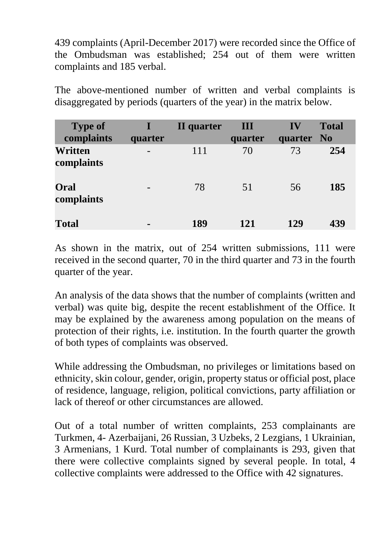439 complaints (April-December 2017) were recorded since the Office of the Ombudsman was established; 254 out of them were written complaints and 185 verbal.

The above-mentioned number of written and verbal complaints is disaggregated by periods (quarters of the year) in the matrix below.

| <b>Type of</b><br>complaints | quarter        | II quarter | Ш<br>quarter | IV<br>quarter No | <b>Total</b> |
|------------------------------|----------------|------------|--------------|------------------|--------------|
| Written<br>complaints        |                | 111        | 70           | 73               | 254          |
| Oral<br>complaints           | -              | 78         | 51           | 56               | 185          |
| <b>Total</b>                 | $\blacksquare$ | 189        | 121          | 129              | 439          |

As shown in the matrix, out of 254 written submissions, 111 were received in the second quarter, 70 in the third quarter and 73 in the fourth quarter of the year.

An analysis of the data shows that the number of complaints (written and verbal) was quite big, despite the recent establishment of the Office. It may be explained by the awareness among population on the means of protection of their rights, i.e. institution. In the fourth quarter the growth of both types of complaints was observed.

While addressing the Ombudsman, no privileges or limitations based on ethnicity, skin colour, gender, origin, property status or official post, place of residence, language, religion, political convictions, party affiliation or lack of thereof or other circumstances are allowed.

Out of a total number of written complaints, 253 complainants are Turkmen, 4- Azerbaijani, 26 Russian, 3 Uzbeks, 2 Lezgians, 1 Ukrainian, 3 Armenians, 1 Kurd. Total number of complainants is 293, given that there were collective complaints signed by several people. In total, 4 collective complaints were addressed to the Office with 42 signatures.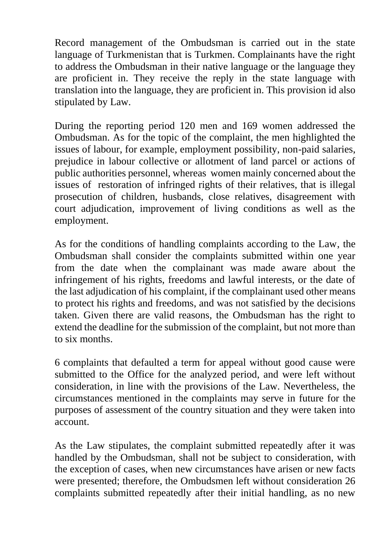Record management of the Ombudsman is carried out in the state language of Turkmenistan that is Turkmen. Complainants have the right to address the Ombudsman in their native language or the language they are proficient in. They receive the reply in the state language with translation into the language, they are proficient in. This provision id also stipulated by Law.

During the reporting period 120 men and 169 women addressed the Ombudsman. As for the topic of the complaint, the men highlighted the issues of labour, for example, employment possibility, non-paid salaries, prejudice in labour collective or allotment of land parcel or actions of public authorities personnel, whereas women mainly concerned about the issues of restoration of infringed rights of their relatives, that is illegal prosecution of children, husbands, close relatives, disagreement with court adjudication, improvement of living conditions as well as the employment.

As for the conditions of handling complaints according to the Law, the Ombudsman shall consider the complaints submitted within one year from the date when the complainant was made aware about the infringement of his rights, freedoms and lawful interests, or the date of the last adjudication of his complaint, if the complainant used other means to protect his rights and freedoms, and was not satisfied by the decisions taken. Given there are valid reasons, the Ombudsman has the right to extend the deadline for the submission of the complaint, but not more than to six months.

6 complaints that defaulted a term for appeal without good cause were submitted to the Office for the analyzed period, and were left without consideration, in line with the provisions of the Law. Nevertheless, the circumstances mentioned in the complaints may serve in future for the purposes of assessment of the country situation and they were taken into account.

As the Law stipulates, the complaint submitted repeatedly after it was handled by the Ombudsman, shall not be subject to consideration, with the exception of cases, when new circumstances have arisen or new facts were presented; therefore, the Ombudsmen left without consideration 26 complaints submitted repeatedly after their initial handling, as no new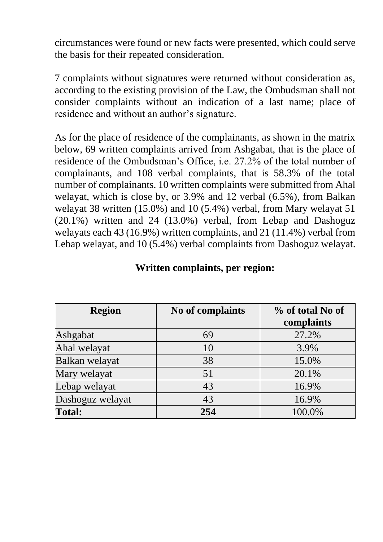circumstances were found or new facts were presented, which could serve the basis for their repeated consideration.

7 complaints without signatures were returned without consideration as, according to the existing provision of the Law, the Ombudsman shall not consider complaints without an indication of a last name; place of residence and without an author's signature.

As for the place of residence of the complainants, as shown in the matrix below, 69 written complaints arrived from Ashgabat, that is the place of residence of the Ombudsman's Office, i.e. 27.2% of the total number of complainants, and 108 verbal complaints, that is 58.3% of the total number of complainants. 10 written complaints were submitted from Ahal welayat, which is close by, or 3.9% and 12 verbal (6.5%), from Balkan welayat 38 written (15.0%) and 10 (5.4%) verbal, from Mary welayat 51 (20.1%) written and 24 (13.0%) verbal, from Lebap and Dashoguz welayats each 43 (16.9%) written complaints, and 21 (11.4%) verbal from Lebap welayat, and 10 (5.4%) verbal complaints from Dashoguz welayat.

| <b>Region</b>    | No of complaints | % of total No of<br>complaints |
|------------------|------------------|--------------------------------|
| Ashgabat         | 69               | 27.2%                          |
| Ahal welayat     | 10               | 3.9%                           |
| Balkan welayat   | 38               | 15.0%                          |
| Mary welayat     | 51               | 20.1%                          |
| Lebap welayat    | 43               | 16.9%                          |
| Dashoguz welayat | 43               | 16.9%                          |
| <b>Total:</b>    | 254              | 100.0%                         |

#### **Written complaints, per region:**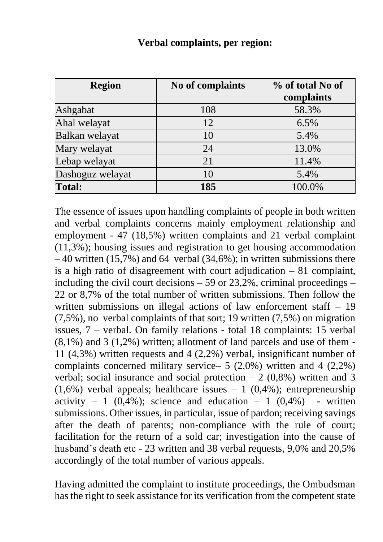| <b>Region</b>    | No of complaints | % of total No of<br>complaints |
|------------------|------------------|--------------------------------|
| Ashgabat         | 108              | 58.3%                          |
| Ahal welayat     | 12               | 6.5%                           |
| Balkan welayat   | 10               | 5.4%                           |
| Mary welayat     | 24               | 13.0%                          |
| Lebap welayat    | 21               | 11.4%                          |
| Dashoguz welayat | 10               | 5.4%                           |
| <b>Total:</b>    | 185              | 100.0%                         |

#### **Verbal complaints, per region:**

The essence of issues upon handling complaints of people in both written and verbal complaints concerns mainly employment relationship and employment - 47 (18,5%) written complaints and 21 verbal complaint (11,3%); housing issues and registration to get housing accommodation  $-40$  written (15,7%) and 64 verbal (34,6%); in written submissions there is a high ratio of disagreement with court adjudication  $-81$  complaint, including the civil court decisions  $-59$  or 23,2%, criminal proceedings  $-$ 22 or 8,7% of the total number of written submissions. Then follow the written submissions on illegal actions of law enforcement staff – 19 (7,5%), no verbal complaints of that sort; 19 written (7,5%) on migration issues, 7 – verbal. On family relations - total 18 complaints: 15 verbal  $(8,1\%)$  and 3  $(1,2\%)$  written; allotment of land parcels and use of them -11 (4,3%) written requests and 4 (2,2%) verbal, insignificant number of complaints concerned military service– 5 (2,0%) written and 4 (2,2%) verbal; social insurance and social protection  $-2$  (0,8%) written and 3  $(1,6\%)$  verbal appeals; healthcare issues  $-1$   $(0,4\%)$ ; entrepreneurship activity – 1  $(0,4\%)$ ; science and education – 1  $(0,4\%)$  - written submissions. Other issues, in particular, issue of pardon; receiving savings after the death of parents; non-compliance with the rule of court; facilitation for the return of a sold car; investigation into the cause of husband's death etc - 23 written and 38 verbal requests, 9,0% and 20,5% accordingly of the total number of various appeals.

Having admitted the complaint to institute proceedings, the Ombudsman has the right to seek assistance for its verification from the competent state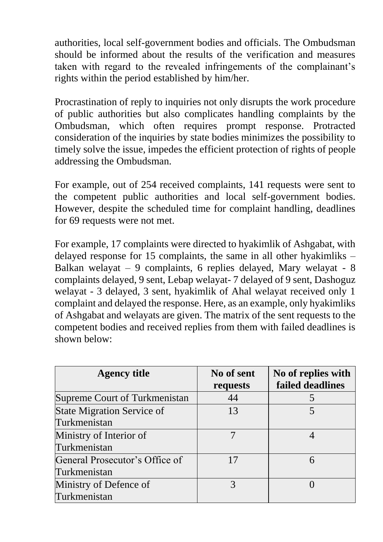authorities, local self-government bodies and officials. The Ombudsman should be informed about the results of the verification and measures taken with regard to the revealed infringements of the complainant's rights within the period established by him/her.

Procrastination of reply to inquiries not only disrupts the work procedure of public authorities but also complicates handling complaints by the Ombudsman, which often requires prompt response. Protracted consideration of the inquiries by state bodies minimizes the possibility to timely solve the issue, impedes the efficient protection of rights of people addressing the Ombudsman.

For example, out of 254 received complaints, 141 requests were sent to the competent public authorities and local self-government bodies. However, despite the scheduled time for complaint handling, deadlines for 69 requests were not met.

For example, 17 complaints were directed to hyakimlik of Ashgabat, with delayed response for 15 complaints, the same in all other hyakimliks – Balkan welayat – 9 complaints, 6 replies delayed, Mary welayat - 8 complaints delayed, 9 sent, Lebap welayat- 7 delayed of 9 sent, Dashoguz welayat - 3 delayed, 3 sent, hyakimlik of Ahal welayat received only 1 complaint and delayed the response. Here, as an example, only hyakimliks of Ashgabat and welayats are given. The matrix of the sent requests to the competent bodies and received replies from them with failed deadlines is shown below:

| <b>Agency title</b>               | No of sent<br>requests | No of replies with<br>failed deadlines |
|-----------------------------------|------------------------|----------------------------------------|
| Supreme Court of Turkmenistan     | 44                     |                                        |
| <b>State Migration Service of</b> | 13                     |                                        |
| Turkmenistan                      |                        |                                        |
| Ministry of Interior of           |                        |                                        |
| Turkmenistan                      |                        |                                        |
| General Prosecutor's Office of    | 17                     | 6                                      |
| Turkmenistan                      |                        |                                        |
| Ministry of Defence of            | 3                      |                                        |
| Turkmenistan                      |                        |                                        |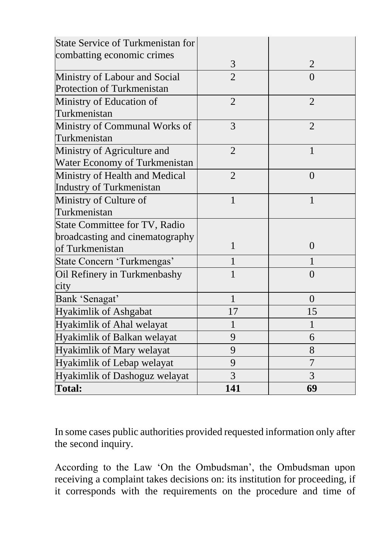| <b>State Service of Turkmenistan for</b> |                |                |
|------------------------------------------|----------------|----------------|
| combatting economic crimes               |                |                |
|                                          | 3              | $\overline{2}$ |
| Ministry of Labour and Social            | $\overline{2}$ | $\Omega$       |
| Protection of Turkmenistan               |                |                |
| Ministry of Education of                 | $\overline{2}$ | $\overline{2}$ |
| Turkmenistan                             |                |                |
| Ministry of Communal Works of            | 3              | $\overline{2}$ |
| Turkmenistan                             |                |                |
| Ministry of Agriculture and              | $\overline{2}$ | $\mathbf{1}$   |
| Water Economy of Turkmenistan            |                |                |
| Ministry of Health and Medical           | $\overline{2}$ | $\theta$       |
| Industry of Turkmenistan                 |                |                |
| Ministry of Culture of                   | 1              | 1              |
| Turkmenistan                             |                |                |
| State Committee for TV, Radio            |                |                |
| broadcasting and cinematography          |                |                |
| of Turkmenistan                          | 1              | $\theta$       |
| State Concern 'Turkmengas'               |                |                |
| Oil Refinery in Turkmenbashy             |                | $\Omega$       |
| city                                     |                |                |
| Bank 'Senagat'                           | 1              | $\theta$       |
| <b>Hyakimlik of Ashgabat</b>             | 17             | 15             |
| Hyakimlik of Ahal welayat                | 1              | $\mathbf 1$    |
| Hyakimlik of Balkan welayat              | 9              | 6              |
| Hyakimlik of Mary welayat                | 9              | 8              |
| Hyakimlik of Lebap welayat               | 9              | 7              |
| Hyakimlik of Dashoguz welayat            | 3              | $\overline{3}$ |
| <b>Total:</b>                            | 141            | 69             |

In some cases public authorities provided requested information only after the second inquiry.

According to the Law 'On the Ombudsman', the Ombudsman upon receiving a complaint takes decisions on: its institution for proceeding, if it corresponds with the requirements on the procedure and time of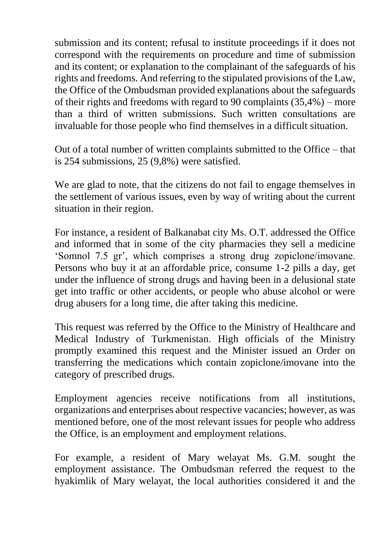submission and its content; refusal to institute proceedings if it does not correspond with the requirements on procedure and time of submission and its content; or explanation to the complainant of the safeguards of his rights and freedoms. And referring to the stipulated provisions of the Law, the Office of the Ombudsman provided explanations about the safeguards of their rights and freedoms with regard to 90 complaints (35,4%) – more than a third of written submissions. Such written consultations are invaluable for those people who find themselves in a difficult situation.

Out of a total number of written complaints submitted to the Office – that is 254 submissions, 25 (9,8%) were satisfied.

We are glad to note, that the citizens do not fail to engage themselves in the settlement of various issues, even by way of writing about the current situation in their region.

For instance, a resident of Balkanabat city Ms. O.T. addressed the Office and informed that in some of the city pharmacies they sell a medicine 'Somnol 7.5 gr', which comprises a strong drug zopiclone/imovane. Persons who buy it at an affordable price, consume 1-2 pills a day, get under the influence of strong drugs and having been in a delusional state get into traffic or other accidents, or people who abuse alcohol or were drug abusers for a long time, die after taking this medicine.

This request was referred by the Office to the Ministry of Healthcare and Medical Industry of Turkmenistan. High officials of the Ministry promptly examined this request and the Minister issued an Order on transferring the medications which contain zopiclone/imovane into the category of prescribed drugs.

Employment agencies receive notifications from all institutions, organizations and enterprises about respective vacancies; however, as was mentioned before, one of the most relevant issues for people who address the Office, is an employment and employment relations.

For example, a resident of Mary welayat Ms. G.M. sought the employment assistance. The Ombudsman referred the request to the hyakimlik of Mary welayat, the local authorities considered it and the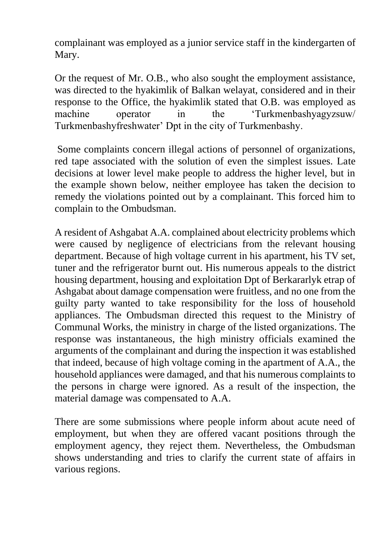complainant was employed as a junior service staff in the kindergarten of Mary.

Or the request of Mr. O.B., who also sought the employment assistance, was directed to the hyakimlik of Balkan welayat, considered and in their response to the Office, the hyakimlik stated that O.B. was employed as machine operator in the 'Turkmenbashyagyzsuw/ Turkmenbashyfreshwater' Dpt in the city of Turkmenbashy.

Some complaints concern illegal actions of personnel of organizations, red tape associated with the solution of even the simplest issues. Late decisions at lower level make people to address the higher level, but in the example shown below, neither employee has taken the decision to remedy the violations pointed out by a complainant. This forced him to complain to the Ombudsman.

A resident of Ashgabat A.A. complained about electricity problems which were caused by negligence of electricians from the relevant housing department. Because of high voltage current in his apartment, his TV set, tuner and the refrigerator burnt out. His numerous appeals to the district housing department, housing and exploitation Dpt of Berkararlyk etrap of Ashgabat about damage compensation were fruitless, and no one from the guilty party wanted to take responsibility for the loss of household appliances. The Ombudsman directed this request to the Ministry of Communal Works, the ministry in charge of the listed organizations. The response was instantaneous, the high ministry officials examined the arguments of the complainant and during the inspection it was established that indeed, because of high voltage coming in the apartment of A.A., the household appliances were damaged, and that his numerous complaints to the persons in charge were ignored. As a result of the inspection, the material damage was compensated to A.A.

There are some submissions where people inform about acute need of employment, but when they are offered vacant positions through the employment agency, they reject them. Nevertheless, the Ombudsman shows understanding and tries to clarify the current state of affairs in various regions.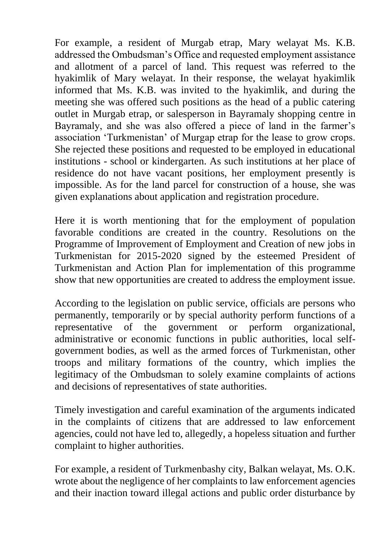For example, a resident of Murgab etrap, Mary welayat Ms. K.B. addressed the Ombudsman's Office and requested employment assistance and allotment of a parcel of land. This request was referred to the hyakimlik of Mary welayat. In their response, the welayat hyakimlik informed that Ms. K.B. was invited to the hyakimlik, and during the meeting she was offered such positions as the head of a public catering outlet in Murgab etrap, or salesperson in Bayramaly shopping centre in Bayramaly, and she was also offered a piece of land in the farmer's association 'Turkmenistan' of Murgap etrap for the lease to grow crops. She rejected these positions and requested to be employed in educational institutions - school or kindergarten. As such institutions at her place of residence do not have vacant positions, her employment presently is impossible. As for the land parcel for construction of a house, she was given explanations about application and registration procedure.

Here it is worth mentioning that for the employment of population favorable conditions are created in the country. Resolutions on the Programme of Improvement of Employment and Creation of new jobs in Turkmenistan for 2015-2020 signed by the esteemed President of Turkmenistan and Action Plan for implementation of this programme show that new opportunities are created to address the employment issue.

According to the legislation on public service, officials are persons who permanently, temporarily or by special authority perform functions of a representative of the government or perform organizational, administrative or economic functions in public authorities, local selfgovernment bodies, as well as the armed forces of Turkmenistan, other troops and military formations of the country, which implies the legitimacy of the Ombudsman to solely examine complaints of actions and decisions of representatives of state authorities.

Timely investigation and careful examination of the arguments indicated in the complaints of citizens that are addressed to law enforcement agencies, could not have led to, allegedly, a hopeless situation and further complaint to higher authorities.

For example, a resident of Turkmenbashy city, Balkan welayat, Ms. O.K. wrote about the negligence of her complaints to law enforcement agencies and their inaction toward illegal actions and public order disturbance by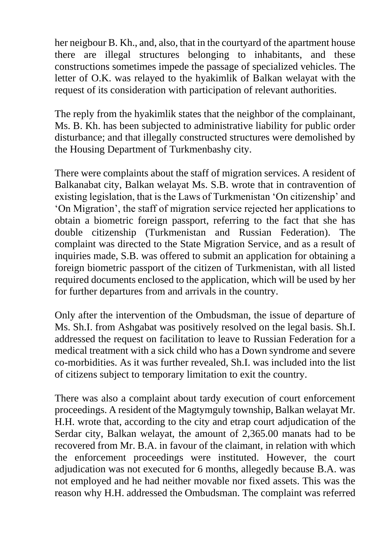her neigbour B. Kh., and, also, that in the courtyard of the apartment house there are illegal structures belonging to inhabitants, and these constructions sometimes impede the passage of specialized vehicles. The letter of O.K. was relayed to the hyakimlik of Balkan welayat with the request of its consideration with participation of relevant authorities.

The reply from the hyakimlik states that the neighbor of the complainant, Ms. B. Kh. has been subjected to administrative liability for public order disturbance; and that illegally constructed structures were demolished by the Housing Department of Turkmenbashy city.

There were complaints about the staff of migration services. A resident of Balkanabat city, Balkan welayat Ms. S.B. wrote that in contravention of existing legislation, that is the Laws of Turkmenistan 'On citizenship' and 'On Migration', the staff of migration service rejected her applications to obtain a biometric foreign passport, referring to the fact that she has double citizenship (Turkmenistan and Russian Federation). The complaint was directed to the State Migration Service, and as a result of inquiries made, S.B. was offered to submit an application for obtaining a foreign biometric passport of the citizen of Turkmenistan, with all listed required documents enclosed to the application, which will be used by her for further departures from and arrivals in the country.

Only after the intervention of the Ombudsman, the issue of departure of Ms. Sh.I. from Ashgabat was positively resolved on the legal basis. Sh.I. addressed the request on facilitation to leave to Russian Federation for a medical treatment with a sick child who has a Down syndrome and severe co-morbidities. As it was further revealed, Sh.I. was included into the list of citizens subject to temporary limitation to exit the country.

There was also a complaint about tardy execution of court enforcement proceedings. A resident of the Magtymguly township, Balkan welayat Mr. H.H. wrote that, according to the city and etrap court adjudication of the Serdar city, Balkan welayat, the amount of 2,365.00 manats had to be recovered from Mr. B.A. in favour of the claimant, in relation with which the enforcement proceedings were instituted. However, the court adjudication was not executed for 6 months, allegedly because B.A. was not employed and he had neither movable nor fixed assets. This was the reason why H.H. addressed the Ombudsman. The complaint was referred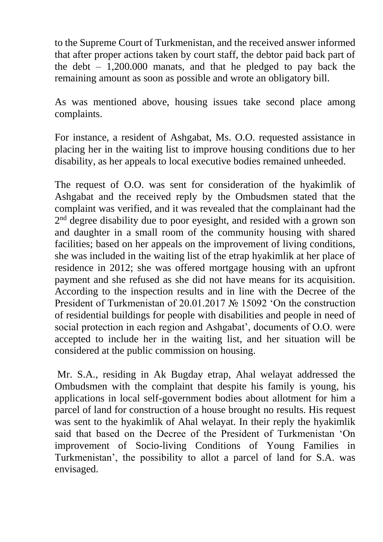to the Supreme Court of Turkmenistan, and the received answer informed that after proper actions taken by court staff, the debtor paid back part of the debt  $-1,200,000$  manats, and that he pledged to pay back the remaining amount as soon as possible and wrote an obligatory bill.

As was mentioned above, housing issues take second place among complaints.

For instance, a resident of Ashgabat, Ms. O.O. requested assistance in placing her in the waiting list to improve housing conditions due to her disability, as her appeals to local executive bodies remained unheeded.

The request of O.O. was sent for consideration of the hyakimlik of Ashgabat and the received reply by the Ombudsmen stated that the complaint was verified, and it was revealed that the complainant had the 2<sup>nd</sup> degree disability due to poor eyesight, and resided with a grown son and daughter in a small room of the community housing with shared facilities; based on her appeals on the improvement of living conditions, she was included in the waiting list of the etrap hyakimlik at her place of residence in 2012; she was offered mortgage housing with an upfront payment and she refused as she did not have means for its acquisition. According to the inspection results and in line with the Decree of the President of Turkmenistan of 20.01.2017 № 15092 'On the construction of residential buildings for people with disabilities and people in need of social protection in each region and Ashgabat', documents of O.O. were accepted to include her in the waiting list, and her situation will be considered at the public commission on housing.

Mr. S.A., residing in Ak Bugday etrap, Ahal welayat addressed the Ombudsmen with the complaint that despite his family is young, his applications in local self-government bodies about allotment for him a parcel of land for construction of a house brought no results. His request was sent to the hyakimlik of Ahal welayat. In their reply the hyakimlik said that based on the Decree of the President of Turkmenistan 'On improvement of Socio-living Conditions of Young Families in Turkmenistan', the possibility to allot a parcel of land for S.A. was envisaged.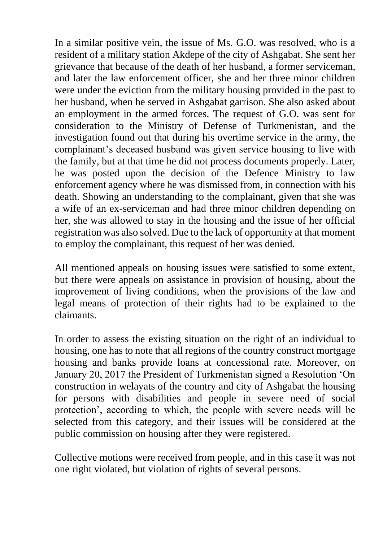In a similar positive vein, the issue of Ms. G.O. was resolved, who is a resident of a military station Akdepe of the city of Ashgabat. She sent her grievance that because of the death of her husband, a former serviceman, and later the law enforcement officer, she and her three minor children were under the eviction from the military housing provided in the past to her husband, when he served in Ashgabat garrison. She also asked about an employment in the armed forces. The request of G.O. was sent for consideration to the Ministry of Defense of Turkmenistan, and the investigation found out that during his overtime service in the army, the complainant's deceased husband was given service housing to live with the family, but at that time he did not process documents properly. Later, he was posted upon the decision of the Defence Ministry to law enforcement agency where he was dismissed from, in connection with his death. Showing an understanding to the complainant, given that she was a wife of an ex-serviceman and had three minor children depending on her, she was allowed to stay in the housing and the issue of her official registration was also solved. Due to the lack of opportunity at that moment to employ the complainant, this request of her was denied.

All mentioned appeals on housing issues were satisfied to some extent, but there were appeals on assistance in provision of housing, about the improvement of living conditions, when the provisions of the law and legal means of protection of their rights had to be explained to the claimants.

In order to assess the existing situation on the right of an individual to housing, one has to note that all regions of the country construct mortgage housing and banks provide loans at concessional rate. Moreover, on January 20, 2017 the President of Turkmenistan signed a Resolution 'On construction in welayats of the country and city of Ashgabat the housing for persons with disabilities and people in severe need of social protection', according to which, the people with severe needs will be selected from this category, and their issues will be considered at the public commission on housing after they were registered.

Collective motions were received from people, and in this case it was not one right violated, but violation of rights of several persons.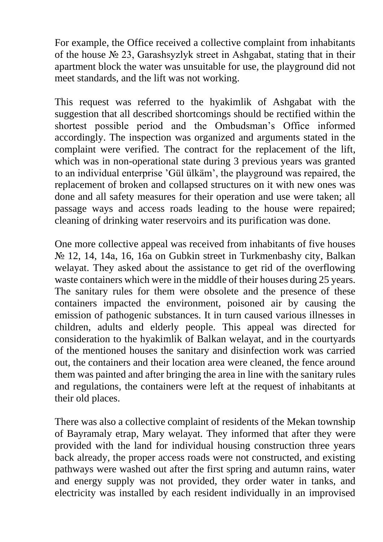For example, the Office received a collective complaint from inhabitants of the house  $\mathbb{N}^{\circ}$  23, Garashsyzlyk street in Ashgabat, stating that in their apartment block the water was unsuitable for use, the playground did not meet standards, and the lift was not working.

This request was referred to the hyakimlik of Ashgabat with the suggestion that all described shortcomings should be rectified within the shortest possible period and the Ombudsman's Office informed accordingly. The inspection was organized and arguments stated in the complaint were verified. The contract for the replacement of the lift, which was in non-operational state during 3 previous years was granted to an individual enterprise 'Gül ülkäm', the playground was repaired, the replacement of broken and collapsed structures on it with new ones was done and all safety measures for their operation and use were taken; all passage ways and access roads leading to the house were repaired; cleaning of drinking water reservoirs and its purification was done.

One more collective appeal was received from inhabitants of five houses № 12, 14, 14а, 16, 16а on Gubkin street in Turkmenbashy city, Balkan welayat. They asked about the assistance to get rid of the overflowing waste containers which were in the middle of their houses during 25 years. The sanitary rules for them were obsolete and the presence of these containers impacted the environment, poisoned air by causing the emission of pathogenic substances. It in turn caused various illnesses in children, adults and elderly people. This appeal was directed for consideration to the hyakimlik of Balkan welayat, and in the courtyards of the mentioned houses the sanitary and disinfection work was carried out, the containers and their location area were cleaned, the fence around them was painted and after bringing the area in line with the sanitary rules and regulations, the containers were left at the request of inhabitants at their old places.

There was also a collective complaint of residents of the Mekan township of Bayramaly etrap, Mary welayat. They informed that after they were provided with the land for individual housing construction three years back already, the proper access roads were not constructed, and existing pathways were washed out after the first spring and autumn rains, water and energy supply was not provided, they order water in tanks, and electricity was installed by each resident individually in an improvised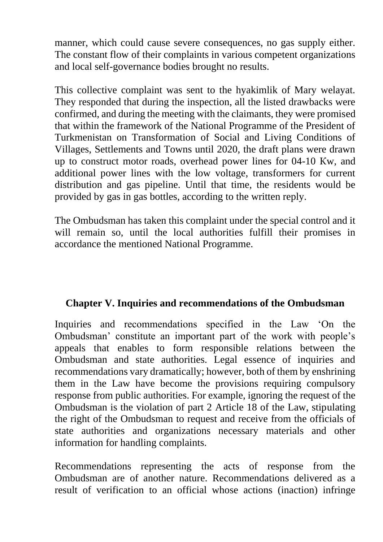manner, which could cause severe consequences, no gas supply either. The constant flow of their complaints in various competent organizations and local self-governance bodies brought no results.

This collective complaint was sent to the hyakimlik of Mary welayat. They responded that during the inspection, all the listed drawbacks were confirmed, and during the meeting with the claimants, they were promised that within the framework of the National Programme of the President of Turkmenistan on Transformation of Social and Living Conditions of Villages, Settlements and Towns until 2020, the draft plans were drawn up to construct motor roads, overhead power lines for 04-10 Кw, and additional power lines with the low voltage, transformers for current distribution and gas pipeline. Until that time, the residents would be provided by gas in gas bottles, according to the written reply.

The Ombudsman has taken this complaint under the special control and it will remain so, until the local authorities fulfill their promises in accordance the mentioned National Programme.

## **Chapter V. Inquiries and recommendations of the Ombudsman**

Inquiries and recommendations specified in the Law 'On the Ombudsman' constitute an important part of the work with people's appeals that enables to form responsible relations between the Ombudsman and state authorities. Legal essence of inquiries and recommendations vary dramatically; however, both of them by enshrining them in the Law have become the provisions requiring compulsory response from public authorities. For example, ignoring the request of the Ombudsman is the violation of part 2 Article 18 of the Law, stipulating the right of the Ombudsman to request and receive from the officials of state authorities and organizations necessary materials and other information for handling complaints.

Recommendations representing the acts of response from the Ombudsman are of another nature. Recommendations delivered as a result of verification to an official whose actions (inaction) infringe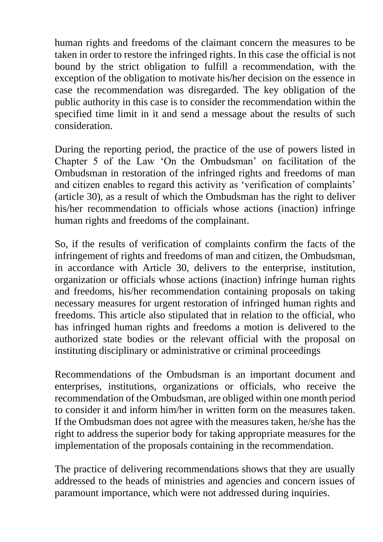human rights and freedoms of the claimant concern the measures to be taken in order to restore the infringed rights. In this case the official is not bound by the strict obligation to fulfill a recommendation, with the exception of the obligation to motivate his/her decision on the essence in case the recommendation was disregarded. The key obligation of the public authority in this case is to consider the recommendation within the specified time limit in it and send a message about the results of such consideration.

During the reporting period, the practice of the use of powers listed in Chapter 5 of the Law 'On the Ombudsman' on facilitation of the Ombudsman in restoration of the infringed rights and freedoms of man and citizen enables to regard this activity as 'verification of complaints' (article 30), as a result of which the Ombudsman has the right to deliver his/her recommendation to officials whose actions (inaction) infringe human rights and freedoms of the complainant.

So, if the results of verification of complaints confirm the facts of the infringement of rights and freedoms of man and citizen, the Ombudsman, in accordance with Article 30, delivers to the enterprise, institution, organization or officials whose actions (inaction) infringe human rights and freedoms, his/her recommendation containing proposals on taking necessary measures for urgent restoration of infringed human rights and freedoms. This article also stipulated that in relation to the official, who has infringed human rights and freedoms a motion is delivered to the authorized state bodies or the relevant official with the proposal on instituting disciplinary or administrative or criminal proceedings

Recommendations of the Ombudsman is an important document and enterprises, institutions, organizations or officials, who receive the recommendation of the Ombudsman, are obliged within one month period to consider it and inform him/her in written form on the measures taken. If the Ombudsman does not agree with the measures taken, he/she has the right to address the superior body for taking appropriate measures for the implementation of the proposals containing in the recommendation.

The practice of delivering recommendations shows that they are usually addressed to the heads of ministries and agencies and concern issues of paramount importance, which were not addressed during inquiries.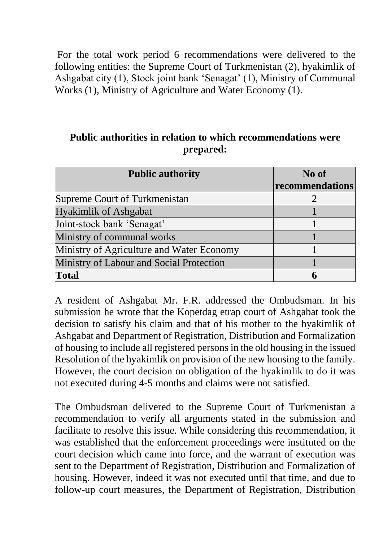For the total work period 6 recommendations were delivered to the following entities: the Supreme Court of Turkmenistan (2), hyakimlik of Ashgabat city (1), Stock joint bank 'Senagat' (1), Ministry of Communal Works (1), Ministry of Agriculture and Water Economy (1).

#### **Public authorities in relation to which recommendations were prepared:**

| <b>Public authority</b>                   | No of           |
|-------------------------------------------|-----------------|
|                                           | recommendations |
| Supreme Court of Turkmenistan             | $\overline{2}$  |
| <b>Hyakimlik of Ashgabat</b>              |                 |
| Joint-stock bank 'Senagat'                |                 |
| Ministry of communal works                |                 |
| Ministry of Agriculture and Water Economy |                 |
| Ministry of Labour and Social Protection  |                 |
| Total                                     | h               |

A resident of Ashgabat Mr. F.R. addressed the Ombudsman. In his submission he wrote that the Kopetdag etrap court of Ashgabat took the decision to satisfy his claim and that of his mother to the hyakimlik of Ashgabat and Department of Registration, Distribution and Formalization of housing to include all registered persons in the old housing in the issued Resolution of the hyakimlik on provision of the new housing to the family. However, the court decision on obligation of the hyakimlik to do it was not executed during 4-5 months and claims were not satisfied.

The Ombudsman delivered to the Supreme Court of Turkmenistan a recommendation to verify all arguments stated in the submission and facilitate to resolve this issue. While considering this recommendation, it was established that the enforcement proceedings were instituted on the court decision which came into force, and the warrant of execution was sent to the Department of Registration, Distribution and Formalization of housing. However, indeed it was not executed until that time, and due to follow-up court measures, the Department of Registration, Distribution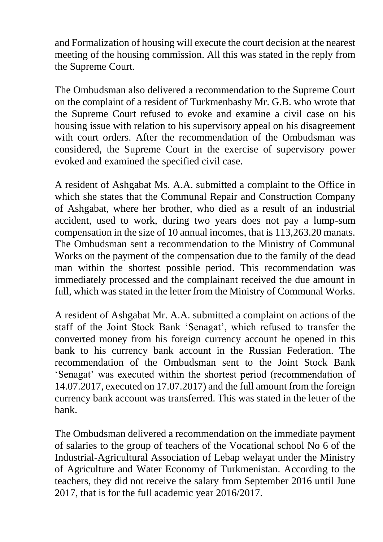and Formalization of housing will execute the court decision at the nearest meeting of the housing commission. All this was stated in the reply from the Supreme Court.

The Ombudsman also delivered a recommendation to the Supreme Court on the complaint of a resident of Turkmenbashy Mr. G.B. who wrote that the Supreme Court refused to evoke and examine a civil case on his housing issue with relation to his supervisory appeal on his disagreement with court orders. After the recommendation of the Ombudsman was considered, the Supreme Court in the exercise of supervisory power evoked and examined the specified civil case.

A resident of Ashgabat Ms. A.A. submitted a complaint to the Office in which she states that the Communal Repair and Construction Company of Ashgabat, where her brother, who died as a result of an industrial accident, used to work, during two years does not pay a lump-sum compensation in the size of 10 annual incomes, that is 113,263.20 manats. The Ombudsman sent a recommendation to the Ministry of Communal Works on the payment of the compensation due to the family of the dead man within the shortest possible period. This recommendation was immediately processed and the complainant received the due amount in full, which was stated in the letter from the Ministry of Communal Works.

A resident of Ashgabat Mr. A.A. submitted a complaint on actions of the staff of the Joint Stock Bank 'Senagat', which refused to transfer the converted money from his foreign currency account he opened in this bank to his currency bank account in the Russian Federation. The recommendation of the Ombudsman sent to the Joint Stock Bank 'Senagat' was executed within the shortest period (recommendation of 14.07.2017, executed on 17.07.2017) and the full amount from the foreign currency bank account was transferred. This was stated in the letter of the bank.

The Ombudsman delivered a recommendation on the immediate payment of salaries to the group of teachers of the Vocational school No 6 of the Industrial-Agricultural Association of Lebap welayat under the Ministry of Agriculture and Water Economy of Turkmenistan. According to the teachers, they did not receive the salary from September 2016 until June 2017, that is for the full academic year 2016/2017.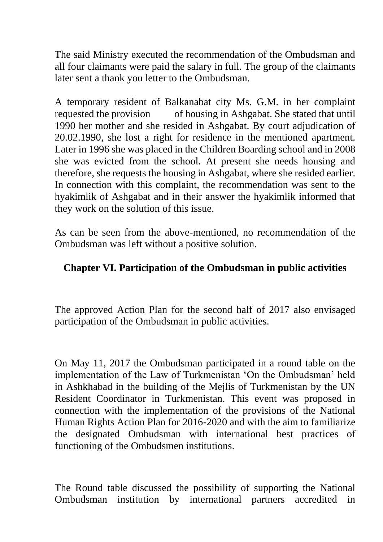The said Ministry executed the recommendation of the Ombudsman and all four claimants were paid the salary in full. The group of the claimants later sent a thank you letter to the Ombudsman.

A temporary resident of Balkanabat city Ms. G.M. in her complaint requested the provision of housing in Ashgabat. She stated that until 1990 her mother and she resided in Ashgabat. By court adjudication of 20.02.1990, she lost a right for residence in the mentioned apartment. Later in 1996 she was placed in the Children Boarding school and in 2008 she was evicted from the school. At present she needs housing and therefore, she requests the housing in Ashgabat, where she resided earlier. In connection with this complaint, the recommendation was sent to the hyakimlik of Ashgabat and in their answer the hyakimlik informed that they work on the solution of this issue.

As can be seen from the above-mentioned, no recommendation of the Ombudsman was left without a positive solution.

## **Chapter VI. Participation of the Ombudsman in public activities**

The approved Action Plan for the second half of 2017 also envisaged participation of the Ombudsman in public activities.

On May 11, 2017 the Ombudsman participated in a round table on the implementation of the Law of Turkmenistan 'On the Ombudsman' held in Ashkhabad in the building of the Mejlis of Turkmenistan by the UN Resident Coordinator in Turkmenistan. This event was proposed in connection with the implementation of the provisions of the National Human Rights Action Plan for 2016-2020 and with the aim to familiarize the designated Ombudsman with international best practices of functioning of the Ombudsmen institutions.

The Round table discussed the possibility of supporting the National Ombudsman institution by international partners accredited in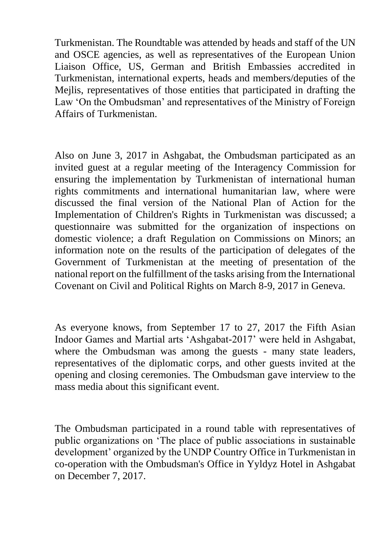Turkmenistan. The Roundtable was attended by heads and staff of the UN and OSCE agencies, as well as representatives of the European Union Liaison Office, US, German and British Embassies accredited in Turkmenistan, international experts, heads and members/deputies of the Mejlis, representatives of those entities that participated in drafting the Law 'On the Ombudsman' and representatives of the Ministry of Foreign Affairs of Turkmenistan.

Also on June 3, 2017 in Ashgabat, the Ombudsman participated as an invited guest at a regular meeting of the Interagency Commission for ensuring the implementation by Turkmenistan of international human rights commitments and international humanitarian law, where were discussed the final version of the National Plan of Action for the Implementation of Children's Rights in Turkmenistan was discussed; a questionnaire was submitted for the organization of inspections on domestic violence; a draft Regulation on Commissions on Minors; an information note on the results of the participation of delegates of the Government of Turkmenistan at the meeting of presentation of the national report on the fulfillment of the tasks arising from the International Covenant on Civil and Political Rights on March 8-9, 2017 in Geneva.

As everyone knows, from September 17 to 27, 2017 the Fifth Asian Indoor Games and Martial arts 'Ashgabat-2017' were held in Ashgabat, where the Ombudsman was among the guests - many state leaders, representatives of the diplomatic corps, and other guests invited at the opening and closing ceremonies. The Ombudsman gave interview to the mass media about this significant event.

The Ombudsman participated in a round table with representatives of public organizations on 'The place of public associations in sustainable development' organized by the UNDP Country Office in Turkmenistan in co-operation with the Ombudsman's Office in Yyldyz Hotel in Ashgabat on December 7, 2017.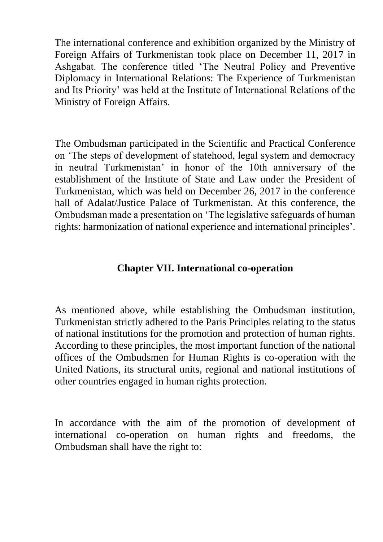The international conference and exhibition organized by the Ministry of Foreign Affairs of Turkmenistan took place on December 11, 2017 in Ashgabat. The conference titled 'The Neutral Policy and Preventive Diplomacy in International Relations: The Experience of Turkmenistan and Its Priority' was held at the Institute of International Relations of the Ministry of Foreign Affairs.

The Ombudsman participated in the Scientific and Practical Conference on 'The steps of development of statehood, legal system and democracy in neutral Turkmenistan' in honor of the 10th anniversary of the establishment of the Institute of State and Law under the President of Turkmenistan, which was held on December 26, 2017 in the conference hall of Adalat/Justice Palace of Turkmenistan. At this conference, the Ombudsman made a presentation on 'The legislative safeguards of human rights: harmonization of national experience and international principles'.

## **Chapter VII. International co-operation**

As mentioned above, while establishing the Ombudsman institution, Turkmenistan strictly adhered to the Paris Principles relating to the status of national institutions for the promotion and protection of human rights. According to these principles, the most important function of the national offices of the Ombudsmen for Human Rights is co-operation with the United Nations, its structural units, regional and national institutions of other countries engaged in human rights protection.

In accordance with the aim of the promotion of development of international co-operation on human rights and freedoms, the Ombudsman shall have the right to: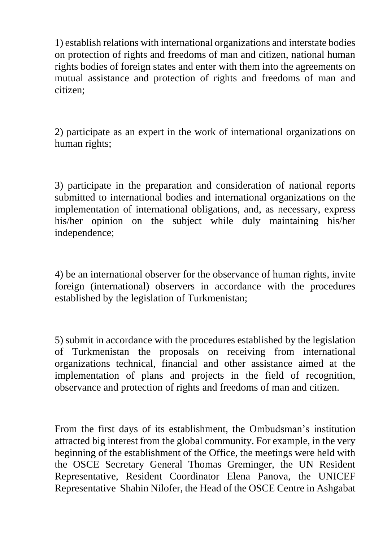1) establish relations with international organizations and interstate bodies on protection of rights and freedoms of man and citizen, national human rights bodies of foreign states and enter with them into the agreements on mutual assistance and protection of rights and freedoms of man and citizen;

2) participate as an expert in the work of international organizations on human rights;

3) participate in the preparation and consideration of national reports submitted to international bodies and international organizations on the implementation of international obligations, and, as necessary, express his/her opinion on the subject while duly maintaining his/her independence;

4) be an international observer for the observance of human rights, invite foreign (international) observers in accordance with the procedures established by the legislation of Turkmenistan;

5) submit in accordance with the procedures established by the legislation of Turkmenistan the proposals on receiving from international organizations technical, financial and other assistance aimed at the implementation of plans and projects in the field of recognition, observance and protection of rights and freedoms of man and citizen.

From the first days of its establishment, the Ombudsman's institution attracted big interest from the global community. For example, in the very beginning of the establishment of the Office, the meetings were held with the OSCE Secretary General Thomas Greminger, the UN Resident Representative, Resident Coordinator Elena Panova, the UNICEF Representative Shahin Nilofer, the Head of the OSCE Centre in Ashgabat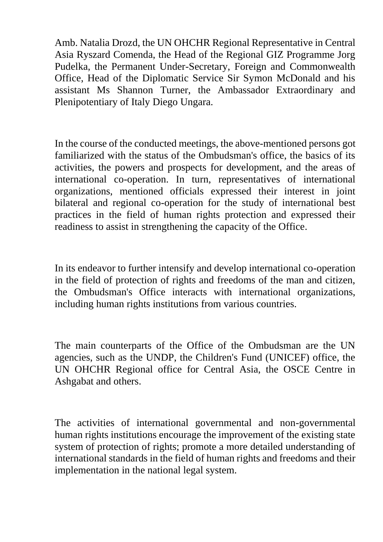Amb. Natalia Drozd, the UN OHCHR Regional Representative in Central Asia Ryszard Comenda, the Head of the Regional GIZ Programme Jorg Pudelka, the Permanent Under-Secretary, Foreign and Commonwealth Office, Head of the Diplomatic Service Sir Symon McDonald and his assistant Ms Shannon Turner, the Ambassador Extraordinary and Plenipotentiary of Italy Diego Ungara.

In the course of the conducted meetings, the above-mentioned persons got familiarized with the status of the Ombudsman's office, the basics of its activities, the powers and prospects for development, and the areas of international co-operation. In turn, representatives of international organizations, mentioned officials expressed their interest in joint bilateral and regional co-operation for the study of international best practices in the field of human rights protection and expressed their readiness to assist in strengthening the capacity of the Office.

In its endeavor to further intensify and develop international co-operation in the field of protection of rights and freedoms of the man and citizen, the Ombudsman's Office interacts with international organizations, including human rights institutions from various countries.

The main counterparts of the Office of the Ombudsman are the UN agencies, such as the UNDP, the Children's Fund (UNICEF) office, the UN OHCHR Regional office for Central Asia, the OSCE Centre in Ashgabat and others.

The activities of international governmental and non-governmental human rights institutions encourage the improvement of the existing state system of protection of rights; promote a more detailed understanding of international standards in the field of human rights and freedoms and their implementation in the national legal system.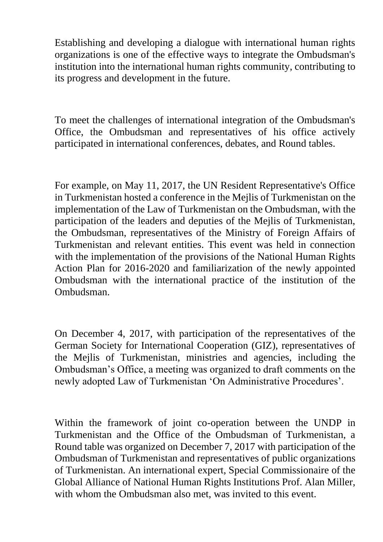Establishing and developing a dialogue with international human rights organizations is one of the effective ways to integrate the Ombudsman's institution into the international human rights community, contributing to its progress and development in the future.

To meet the challenges of international integration of the Ombudsman's Office, the Ombudsman and representatives of his office actively participated in international conferences, debates, and Round tables.

For example, on May 11, 2017, the UN Resident Representative's Office in Turkmenistan hosted a conference in the Mejlis of Turkmenistan on the implementation of the Law of Turkmenistan on the Ombudsman, with the participation of the leaders and deputies of the Mejlis of Turkmenistan, the Ombudsman, representatives of the Ministry of Foreign Affairs of Turkmenistan and relevant entities. This event was held in connection with the implementation of the provisions of the National Human Rights Action Plan for 2016-2020 and familiarization of the newly appointed Ombudsman with the international practice of the institution of the Ombudsman.

On December 4, 2017, with participation of the representatives of the German Society for International Cooperation (GIZ), representatives of the Mejlis of Turkmenistan, ministries and agencies, including the Ombudsman's Office, a meeting was organized to draft comments on the newly adopted Law of Turkmenistan 'On Administrative Procedures'.

Within the framework of joint co-operation between the UNDP in Turkmenistan and the Office of the Ombudsman of Turkmenistan, a Round table was organized on December 7, 2017 with participation of the Ombudsman of Turkmenistan and representatives of public organizations of Turkmenistan. An international expert, Special Commissionaire of the Global Alliance of National Human Rights Institutions Prof. Alan Miller, with whom the Ombudsman also met, was invited to this event.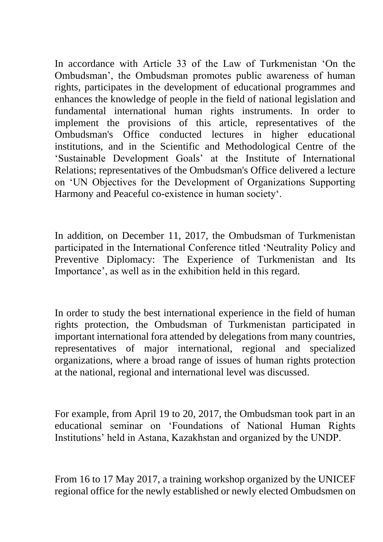In accordance with Article 33 of the Law of Turkmenistan 'On the Ombudsman', the Ombudsman promotes public awareness of human rights, participates in the development of educational programmes and enhances the knowledge of people in the field of national legislation and fundamental international human rights instruments. In order to implement the provisions of this article, representatives of the Ombudsman's Office conducted lectures in higher educational institutions, and in the Scientific and Methodological Centre of the 'Sustainable Development Goals' at the Institute of International Relations; representatives of the Ombudsman's Office delivered a lecture on 'UN Objectives for the Development of Organizations Supporting Harmony and Peaceful co-existence in human society'.

In addition, on December 11, 2017, the Ombudsman of Turkmenistan participated in the International Conference titled 'Neutrality Policy and Preventive Diplomacy: The Experience of Turkmenistan and Its Importance', as well as in the exhibition held in this regard.

In order to study the best international experience in the field of human rights protection, the Ombudsman of Turkmenistan participated in important international fora attended by delegations from many countries, representatives of major international, regional and specialized organizations, where a broad range of issues of human rights protection at the national, regional and international level was discussed.

For example, from April 19 to 20, 2017, the Ombudsman took part in an educational seminar on 'Foundations of National Human Rights Institutions' held in Astana, Kazakhstan and organized by the UNDP.

From 16 to 17 May 2017, a training workshop organized by the UNICEF regional office for the newly established or newly elected Ombudsmen on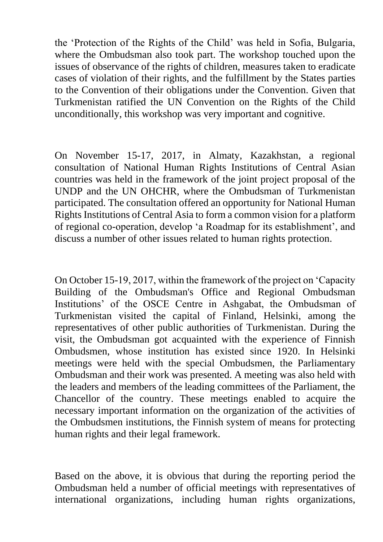the 'Protection of the Rights of the Child' was held in Sofia, Bulgaria, where the Ombudsman also took part. The workshop touched upon the issues of observance of the rights of children, measures taken to eradicate cases of violation of their rights, and the fulfillment by the States parties to the Convention of their obligations under the Convention. Given that Turkmenistan ratified the UN Convention on the Rights of the Child unconditionally, this workshop was very important and cognitive.

On November 15-17, 2017, in Almaty, Kazakhstan, a regional consultation of National Human Rights Institutions of Central Asian countries was held in the framework of the joint project proposal of the UNDP and the UN OHCHR, where the Ombudsman of Turkmenistan participated. The consultation offered an opportunity for National Human Rights Institutions of Central Asia to form a common vision for a platform of regional co-operation, develop 'a Roadmap for its establishment', and discuss a number of other issues related to human rights protection.

On October 15-19, 2017, within the framework of the project on 'Capacity Building of the Ombudsman's Office and Regional Ombudsman Institutions' of the OSCE Centre in Ashgabat, the Ombudsman of Turkmenistan visited the capital of Finland, Helsinki, among the representatives of other public authorities of Turkmenistan. During the visit, the Ombudsman got acquainted with the experience of Finnish Ombudsmen, whose institution has existed since 1920. In Helsinki meetings were held with the special Ombudsmen, the Parliamentary Ombudsman and their work was presented. A meeting was also held with the leaders and members of the leading committees of the Parliament, the Chancellor of the country. These meetings enabled to acquire the necessary important information on the organization of the activities of the Ombudsmen institutions, the Finnish system of means for protecting human rights and their legal framework.

Based on the above, it is obvious that during the reporting period the Ombudsman held a number of official meetings with representatives of international organizations, including human rights organizations,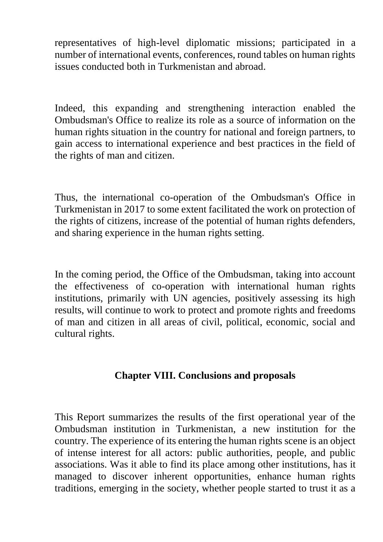representatives of high-level diplomatic missions; participated in a number of international events, conferences, round tables on human rights issues conducted both in Turkmenistan and abroad.

Indeed, this expanding and strengthening interaction enabled the Ombudsman's Office to realize its role as a source of information on the human rights situation in the country for national and foreign partners, to gain access to international experience and best practices in the field of the rights of man and citizen.

Thus, the international co-operation of the Ombudsman's Office in Turkmenistan in 2017 to some extent facilitated the work on protection of the rights of citizens, increase of the potential of human rights defenders, and sharing experience in the human rights setting.

In the coming period, the Office of the Ombudsman, taking into account the effectiveness of co-operation with international human rights institutions, primarily with UN agencies, positively assessing its high results, will continue to work to protect and promote rights and freedoms of man and citizen in all areas of civil, political, economic, social and cultural rights.

### **Chapter VIII. Conclusions and proposals**

This Report summarizes the results of the first operational year of the Ombudsman institution in Turkmenistan, a new institution for the country. The experience of its entering the human rights scene is an object of intense interest for all actors: public authorities, people, and public associations. Was it able to find its place among other institutions, has it managed to discover inherent opportunities, enhance human rights traditions, emerging in the society, whether people started to trust it as a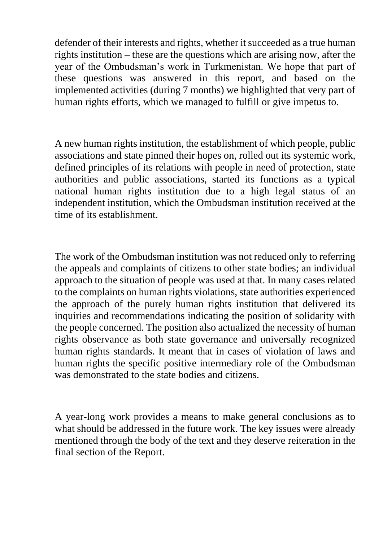defender of their interests and rights, whether it succeeded as a true human rights institution – these are the questions which are arising now, after the year of the Ombudsman's work in Turkmenistan. We hope that part of these questions was answered in this report, and based on the implemented activities (during 7 months) we highlighted that very part of human rights efforts, which we managed to fulfill or give impetus to.

A new human rights institution, the establishment of which people, public associations and state pinned their hopes on, rolled out its systemic work, defined principles of its relations with people in need of protection, state authorities and public associations, started its functions as a typical national human rights institution due to a high legal status of an independent institution, which the Ombudsman institution received at the time of its establishment.

The work of the Ombudsman institution was not reduced only to referring the appeals and complaints of citizens to other state bodies; an individual approach to the situation of people was used at that. In many cases related to the complaints on human rights violations, state authorities experienced the approach of the purely human rights institution that delivered its inquiries and recommendations indicating the position of solidarity with the people concerned. The position also actualized the necessity of human rights observance as both state governance and universally recognized human rights standards. It meant that in cases of violation of laws and human rights the specific positive intermediary role of the Ombudsman was demonstrated to the state bodies and citizens.

A year-long work provides a means to make general conclusions as to what should be addressed in the future work. The key issues were already mentioned through the body of the text and they deserve reiteration in the final section of the Report.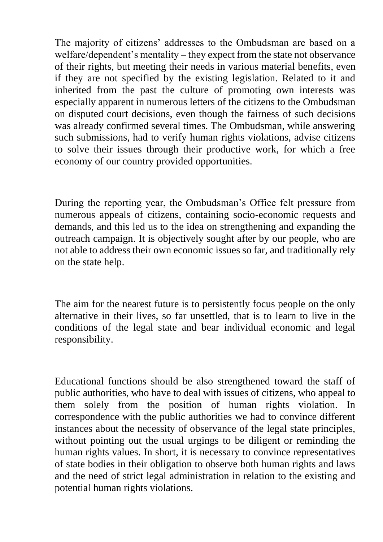The majority of citizens' addresses to the Ombudsman are based on a welfare/dependent's mentality – they expect from the state not observance of their rights, but meeting their needs in various material benefits, even if they are not specified by the existing legislation. Related to it and inherited from the past the culture of promoting own interests was especially apparent in numerous letters of the citizens to the Ombudsman on disputed court decisions, even though the fairness of such decisions was already confirmed several times. The Ombudsman, while answering such submissions, had to verify human rights violations, advise citizens to solve their issues through their productive work, for which a free economy of our country provided opportunities.

During the reporting year, the Ombudsman's Office felt pressure from numerous appeals of citizens, containing socio-economic requests and demands, and this led us to the idea on strengthening and expanding the outreach campaign. It is objectively sought after by our people, who are not able to address their own economic issues so far, and traditionally rely on the state help.

The aim for the nearest future is to persistently focus people on the only alternative in their lives, so far unsettled, that is to learn to live in the conditions of the legal state and bear individual economic and legal responsibility.

Educational functions should be also strengthened toward the staff of public authorities, who have to deal with issues of citizens, who appeal to them solely from the position of human rights violation. In correspondence with the public authorities we had to convince different instances about the necessity of observance of the legal state principles, without pointing out the usual urgings to be diligent or reminding the human rights values. In short, it is necessary to convince representatives of state bodies in their obligation to observe both human rights and laws and the need of strict legal administration in relation to the existing and potential human rights violations.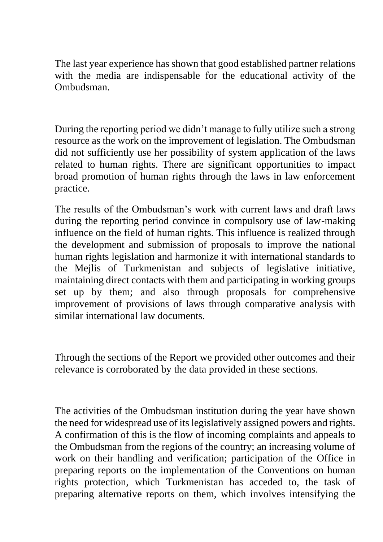The last year experience has shown that good established partner relations with the media are indispensable for the educational activity of the Ombudsman.

During the reporting period we didn't manage to fully utilize such a strong resource as the work on the improvement of legislation. The Ombudsman did not sufficiently use her possibility of system application of the laws related to human rights. There are significant opportunities to impact broad promotion of human rights through the laws in law enforcement practice.

The results of the Ombudsman's work with current laws and draft laws during the reporting period convince in compulsory use of law-making influence on the field of human rights. This influence is realized through the development and submission of proposals to improve the national human rights legislation and harmonize it with international standards to the Mejlis of Turkmenistan and subjects of legislative initiative, maintaining direct contacts with them and participating in working groups set up by them; and also through proposals for comprehensive improvement of provisions of laws through comparative analysis with similar international law documents.

Through the sections of the Report we provided other outcomes and their relevance is corroborated by the data provided in these sections.

The activities of the Ombudsman institution during the year have shown the need for widespread use of its legislatively assigned powers and rights. A confirmation of this is the flow of incoming complaints and appeals to the Ombudsman from the regions of the country; an increasing volume of work on their handling and verification; participation of the Office in preparing reports on the implementation of the Conventions on human rights protection, which Turkmenistan has acceded to, the task of preparing alternative reports on them, which involves intensifying the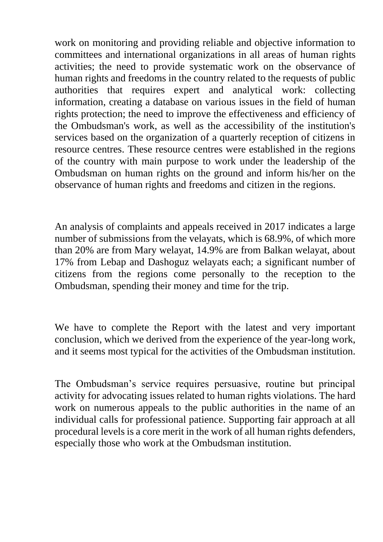work on monitoring and providing reliable and objective information to committees and international organizations in all areas of human rights activities; the need to provide systematic work on the observance of human rights and freedoms in the country related to the requests of public authorities that requires expert and analytical work: collecting information, creating a database on various issues in the field of human rights protection; the need to improve the effectiveness and efficiency of the Ombudsman's work, as well as the accessibility of the institution's services based on the organization of a quarterly reception of citizens in resource centres. These resource centres were established in the regions of the country with main purpose to work under the leadership of the Ombudsman on human rights on the ground and inform his/her on the observance of human rights and freedoms and citizen in the regions.

An analysis of complaints and appeals received in 2017 indicates a large number of submissions from the velayats, which is 68.9%, of which more than 20% are from Mary welayat, 14.9% are from Balkan welayat, about 17% from Lebap and Dashoguz welayats each; a significant number of citizens from the regions come personally to the reception to the Ombudsman, spending their money and time for the trip.

We have to complete the Report with the latest and very important conclusion, which we derived from the experience of the year-long work, and it seems most typical for the activities of the Ombudsman institution.

The Ombudsman's service requires persuasive, routine but principal activity for advocating issues related to human rights violations. The hard work on numerous appeals to the public authorities in the name of an individual calls for professional patience. Supporting fair approach at all procedural levels is a core merit in the work of all human rights defenders, especially those who work at the Ombudsman institution.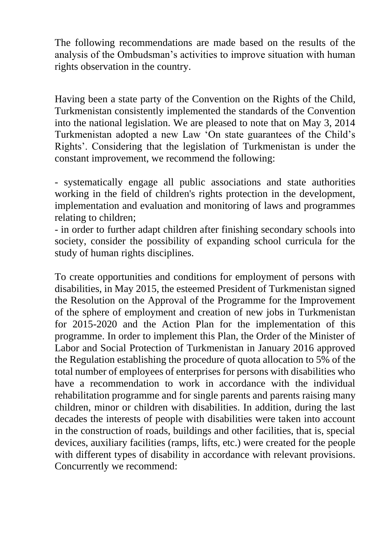The following recommendations are made based on the results of the analysis of the Ombudsman's activities to improve situation with human rights observation in the country.

Having been a state party of the Convention on the Rights of the Child, Turkmenistan consistently implemented the standards of the Convention into the national legislation. We are pleased to note that on May 3, 2014 Turkmenistan adopted a new Law 'On state guarantees of the Child's Rights'. Considering that the legislation of Turkmenistan is under the constant improvement, we recommend the following:

- systematically engage all public associations and state authorities working in the field of children's rights protection in the development, implementation and evaluation and monitoring of laws and programmes relating to children;

- in order to further adapt children after finishing secondary schools into society, consider the possibility of expanding school curricula for the study of human rights disciplines.

To create opportunities and conditions for employment of persons with disabilities, in May 2015, the esteemed President of Turkmenistan signed the Resolution on the Approval of the Programme for the Improvement of the sphere of employment and creation of new jobs in Turkmenistan for 2015-2020 and the Action Plan for the implementation of this programme. In order to implement this Plan, the Order of the Minister of Labor and Social Protection of Turkmenistan in January 2016 approved the Regulation establishing the procedure of quota allocation to 5% of the total number of employees of enterprises for persons with disabilities who have a recommendation to work in accordance with the individual rehabilitation programme and for single parents and parents raising many children, minor or children with disabilities. In addition, during the last decades the interests of people with disabilities were taken into account in the construction of roads, buildings and other facilities, that is, special devices, auxiliary facilities (ramps, lifts, etc.) were created for the people with different types of disability in accordance with relevant provisions. Concurrently we recommend: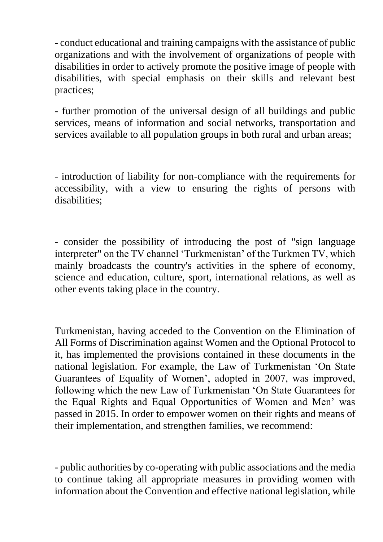- conduct educational and training campaigns with the assistance of public organizations and with the involvement of organizations of people with disabilities in order to actively promote the positive image of people with disabilities, with special emphasis on their skills and relevant best practices;

- further promotion of the universal design of all buildings and public services, means of information and social networks, transportation and services available to all population groups in both rural and urban areas;

- introduction of liability for non-compliance with the requirements for accessibility, with a view to ensuring the rights of persons with disabilities;

- consider the possibility of introducing the post of "sign language interpreter" on the TV channel 'Turkmenistan' of the Turkmen TV, which mainly broadcasts the country's activities in the sphere of economy, science and education, culture, sport, international relations, as well as other events taking place in the country.

Turkmenistan, having acceded to the Convention on the Elimination of All Forms of Discrimination against Women and the Optional Protocol to it, has implemented the provisions contained in these documents in the national legislation. For example, the Law of Turkmenistan 'On State Guarantees of Equality of Women', adopted in 2007, was improved, following which the new Law of Turkmenistan 'On State Guarantees for the Equal Rights and Equal Opportunities of Women and Men' was passed in 2015. In order to empower women on their rights and means of their implementation, and strengthen families, we recommend:

- public authorities by co-operating with public associations and the media to continue taking all appropriate measures in providing women with information about the Convention and effective national legislation, while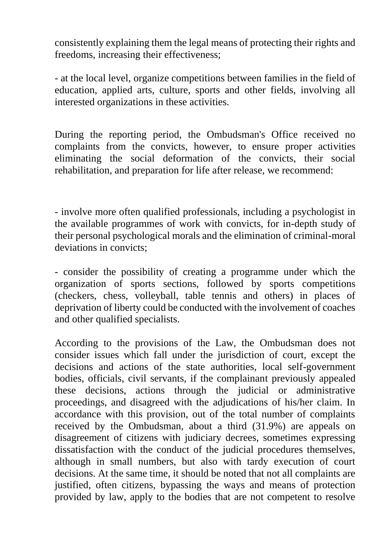consistently explaining them the legal means of protecting their rights and freedoms, increasing their effectiveness;

- at the local level, organize competitions between families in the field of education, applied arts, culture, sports and other fields, involving all interested organizations in these activities.

During the reporting period, the Ombudsman's Office received no complaints from the convicts, however, to ensure proper activities eliminating the social deformation of the convicts, their social rehabilitation, and preparation for life after release, we recommend:

- involve more often qualified professionals, including a psychologist in the available programmes of work with convicts, for in-depth study of their personal psychological morals and the elimination of criminal-moral deviations in convicts;

- consider the possibility of creating a programme under which the organization of sports sections, followed by sports competitions (checkers, chess, volleyball, table tennis and others) in places of deprivation of liberty could be conducted with the involvement of coaches and other qualified specialists.

According to the provisions of the Law, the Ombudsman does not consider issues which fall under the jurisdiction of court, except the decisions and actions of the state authorities, local self-government bodies, officials, civil servants, if the complainant previously appealed these decisions, actions through the judicial or administrative proceedings, and disagreed with the adjudications of his/her claim. In accordance with this provision, out of the total number of complaints received by the Ombudsman, about a third (31.9%) are appeals on disagreement of citizens with judiciary decrees, sometimes expressing dissatisfaction with the conduct of the judicial procedures themselves, although in small numbers, but also with tardy execution of court decisions. At the same time, it should be noted that not all complaints are justified, often citizens, bypassing the ways and means of protection provided by law, apply to the bodies that are not competent to resolve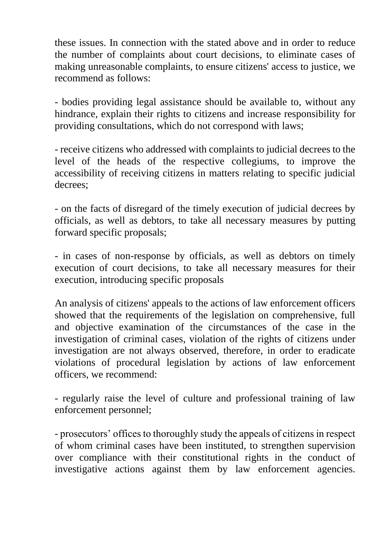these issues. In connection with the stated above and in order to reduce the number of complaints about court decisions, to eliminate cases of making unreasonable complaints, to ensure citizens' access to justice, we recommend as follows:

- bodies providing legal assistance should be available to, without any hindrance, explain their rights to citizens and increase responsibility for providing consultations, which do not correspond with laws;

- receive citizens who addressed with complaints to judicial decrees to the level of the heads of the respective collegiums, to improve the accessibility of receiving citizens in matters relating to specific judicial decrees;

- on the facts of disregard of the timely execution of judicial decrees by officials, as well as debtors, to take all necessary measures by putting forward specific proposals;

- in cases of non-response by officials, as well as debtors on timely execution of court decisions, to take all necessary measures for their execution, introducing specific proposals

An analysis of citizens' appeals to the actions of law enforcement officers showed that the requirements of the legislation on comprehensive, full and objective examination of the circumstances of the case in the investigation of criminal cases, violation of the rights of citizens under investigation are not always observed, therefore, in order to eradicate violations of procedural legislation by actions of law enforcement officers, we recommend:

- regularly raise the level of culture and professional training of law enforcement personnel;

- prosecutors' offices to thoroughly study the appeals of citizens in respect of whom criminal cases have been instituted, to strengthen supervision over compliance with their constitutional rights in the conduct of investigative actions against them by law enforcement agencies.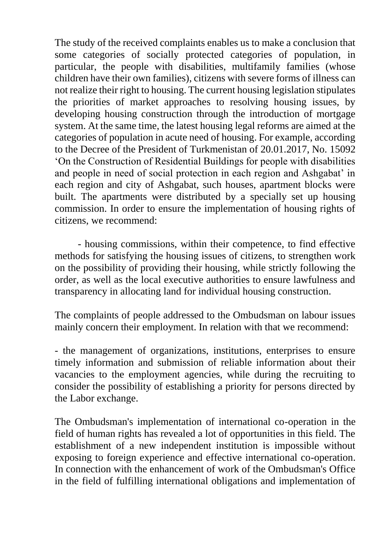The study of the received complaints enables us to make a conclusion that some categories of socially protected categories of population, in particular, the people with disabilities, multifamily families (whose children have their own families), citizens with severe forms of illness can not realize their right to housing. The current housing legislation stipulates the priorities of market approaches to resolving housing issues, by developing housing construction through the introduction of mortgage system. At the same time, the latest housing legal reforms are aimed at the categories of population in acute need of housing. For example, according to the Decree of the President of Turkmenistan of 20.01.2017, No. 15092 'On the Construction of Residential Buildings for people with disabilities and people in need of social protection in each region and Ashgabat' in each region and city of Ashgabat, such houses, apartment blocks were built. The apartments were distributed by a specially set up housing commission. In order to ensure the implementation of housing rights of citizens, we recommend:

 - housing commissions, within their competence, to find effective methods for satisfying the housing issues of citizens, to strengthen work on the possibility of providing their housing, while strictly following the order, as well as the local executive authorities to ensure lawfulness and transparency in allocating land for individual housing construction.

The complaints of people addressed to the Ombudsman on labour issues mainly concern their employment. In relation with that we recommend:

- the management of organizations, institutions, enterprises to ensure timely information and submission of reliable information about their vacancies to the employment agencies, while during the recruiting to consider the possibility of establishing a priority for persons directed by the Labor exchange.

The Ombudsman's implementation of international co-operation in the field of human rights has revealed a lot of opportunities in this field. The establishment of a new independent institution is impossible without exposing to foreign experience and effective international co-operation. In connection with the enhancement of work of the Ombudsman's Office in the field of fulfilling international obligations and implementation of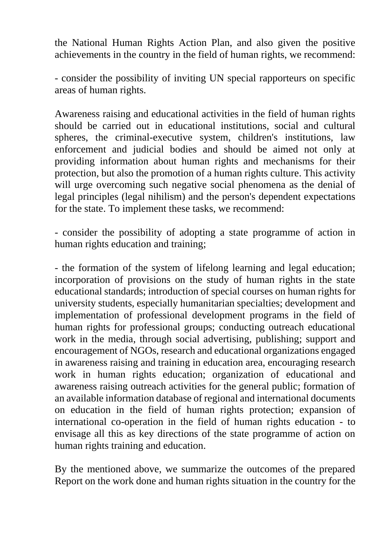the National Human Rights Action Plan, and also given the positive achievements in the country in the field of human rights, we recommend:

- consider the possibility of inviting UN special rapporteurs on specific areas of human rights.

Awareness raising and educational activities in the field of human rights should be carried out in educational institutions, social and cultural spheres, the criminal-executive system, children's institutions, law enforcement and judicial bodies and should be aimed not only at providing information about human rights and mechanisms for their protection, but also the promotion of a human rights culture. This activity will urge overcoming such negative social phenomena as the denial of legal principles (legal nihilism) and the person's dependent expectations for the state. To implement these tasks, we recommend:

- consider the possibility of adopting a state programme of action in human rights education and training;

- the formation of the system of lifelong learning and legal education; incorporation of provisions on the study of human rights in the state educational standards; introduction of special courses on human rights for university students, especially humanitarian specialties; development and implementation of professional development programs in the field of human rights for professional groups; conducting outreach educational work in the media, through social advertising, publishing; support and encouragement of NGOs, research and educational organizations engaged in awareness raising and training in education area, encouraging research work in human rights education; organization of educational and awareness raising outreach activities for the general public; formation of an available information database of regional and international documents on education in the field of human rights protection; expansion of international co-operation in the field of human rights education - to envisage all this as key directions of the state programme of action on human rights training and education.

By the mentioned above, we summarize the outcomes of the prepared Report on the work done and human rights situation in the country for the